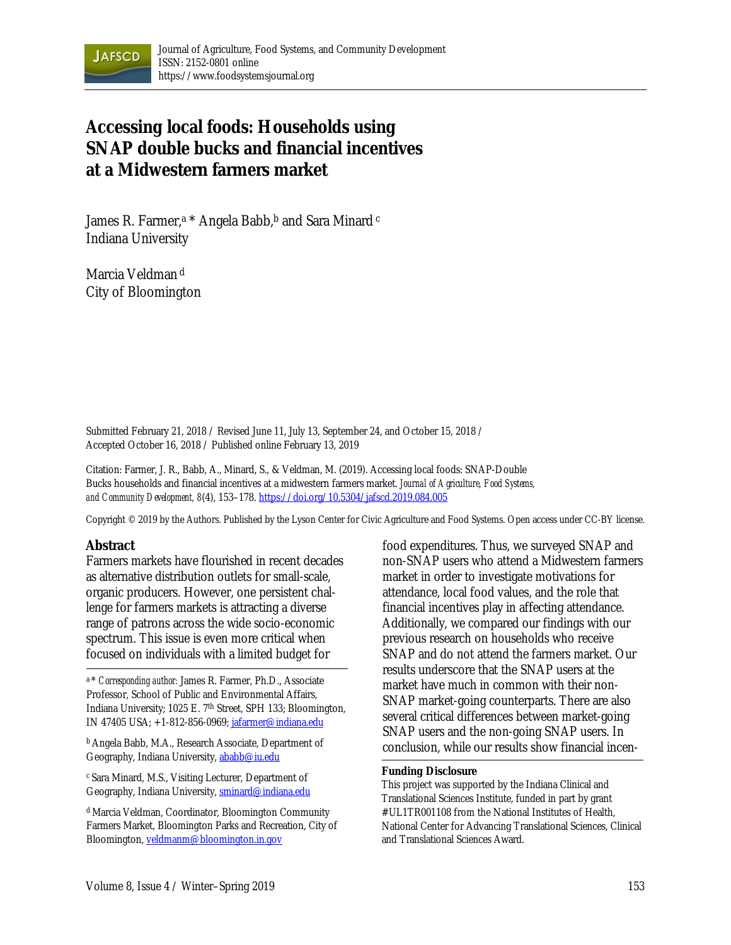

# **Accessing local foods: Households using SNAP double bucks and financial incentives at a Midwestern farmers market**

James R. Farmer,<sup>a \*</sup> Angela Babb,<sup>b</sup> and Sara Minard c Indiana University

Marcia Veldman <sup>d</sup> City of Bloomington

Submitted February 21, 2018 / Revised June 11, July 13, September 24, and October 15, 2018 / Accepted October 16, 2018 / Published online February 13, 2019

Citation: Farmer, J. R., Babb, A., Minard, S., & Veldman, M. (2019). Accessing local foods: SNAP-Double Bucks households and financial incentives at a midwestern farmers market. *Journal of Agriculture, Food Systems, and Community Development, 8*(4), 153–178. https://doi.org/10.5304/jafscd.2019.084.005

Copyright © 2019 by the Authors. Published by the Lyson Center for Civic Agriculture and Food Systems. Open access under CC-BY license.

#### **Abstract**

Farmers markets have flourished in recent decades as alternative distribution outlets for small-scale, organic producers. However, one persistent challenge for farmers markets is attracting a diverse range of patrons across the wide socio-economic spectrum. This issue is even more critical when focused on individuals with a limited budget for

a \* *Corresponding author:* James R. Farmer, Ph.D., Associate Professor, School of Public and Environmental Affairs, Indiana University; 1025 E. 7th Street, SPH 133; Bloomington, IN 47405 USA; +1-812-856-0969; jafarmer@indiana.edu

b Angela Babb, M.A., Research Associate, Department of Geography, Indiana University, ababb@iu.edu

c Sara Minard, M.S., Visiting Lecturer, Department of Geography, Indiana University, sminard@indiana.edu

d Marcia Veldman, Coordinator, Bloomington Community Farmers Market, Bloomington Parks and Recreation, City of Bloomington, veldmanm@bloomington.in.gov

food expenditures. Thus, we surveyed SNAP and non-SNAP users who attend a Midwestern farmers market in order to investigate motivations for attendance, local food values, and the role that financial incentives play in affecting attendance. Additionally, we compared our findings with our previous research on households who receive SNAP and do not attend the farmers market. Our results underscore that the SNAP users at the market have much in common with their non-SNAP market-going counterparts. There are also several critical differences between market-going SNAP users and the non-going SNAP users. In conclusion, while our results show financial incen-

#### **Funding Disclosure**

This project was supported by the Indiana Clinical and Translational Sciences Institute, funded in part by grant #UL1TR001108 from the National Institutes of Health, National Center for Advancing Translational Sciences, Clinical and Translational Sciences Award.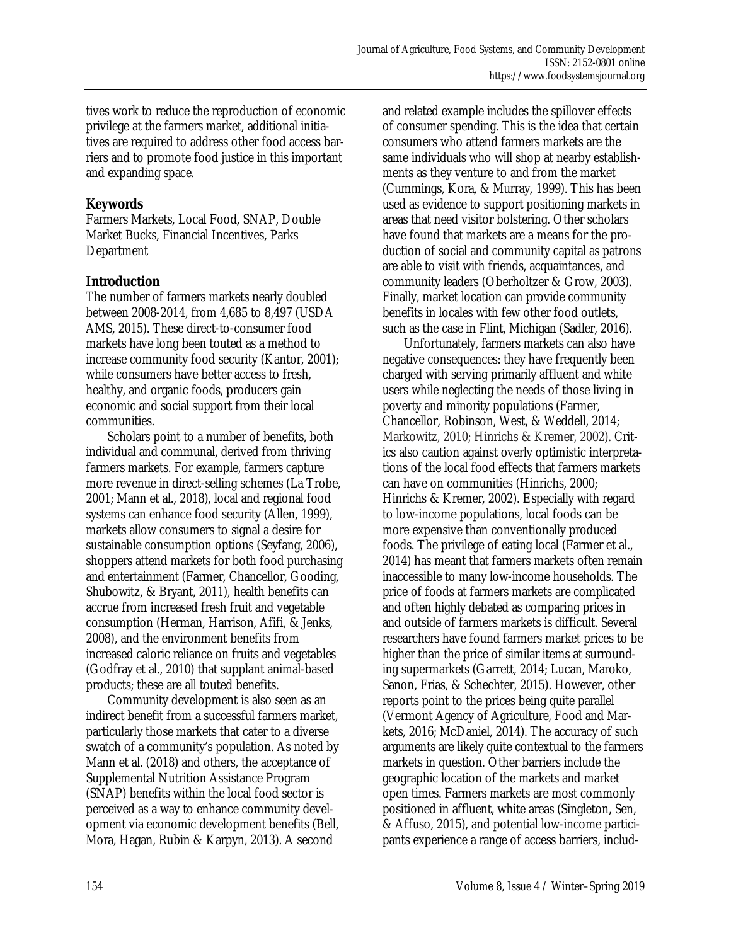tives work to reduce the reproduction of economic privilege at the farmers market, additional initiatives are required to address other food access barriers and to promote food justice in this important and expanding space.

#### **Keywords**

Farmers Markets, Local Food, SNAP, Double Market Bucks, Financial Incentives, Parks Department

#### **Introduction**

The number of farmers markets nearly doubled between 2008-2014, from 4,685 to 8,497 (USDA AMS, 2015). These direct-to-consumer food markets have long been touted as a method to increase community food security (Kantor, 2001); while consumers have better access to fresh, healthy, and organic foods, producers gain economic and social support from their local communities.

 Scholars point to a number of benefits, both individual and communal, derived from thriving farmers markets. For example, farmers capture more revenue in direct-selling schemes (La Trobe, 2001; Mann et al., 2018), local and regional food systems can enhance food security (Allen, 1999), markets allow consumers to signal a desire for sustainable consumption options (Seyfang, 2006), shoppers attend markets for both food purchasing and entertainment (Farmer, Chancellor, Gooding, Shubowitz, & Bryant, 2011), health benefits can accrue from increased fresh fruit and vegetable consumption (Herman, Harrison, Afifi, & Jenks, 2008), and the environment benefits from increased caloric reliance on fruits and vegetables (Godfray et al., 2010) that supplant animal-based products; these are all touted benefits.

 Community development is also seen as an indirect benefit from a successful farmers market, particularly those markets that cater to a diverse swatch of a community's population. As noted by Mann et al. (2018) and others, the acceptance of Supplemental Nutrition Assistance Program (SNAP) benefits within the local food sector is perceived as a way to enhance community development via economic development benefits (Bell, Mora, Hagan, Rubin & Karpyn, 2013). A second

and related example includes the spillover effects of consumer spending. This is the idea that certain consumers who attend farmers markets are the same individuals who will shop at nearby establishments as they venture to and from the market (Cummings, Kora, & Murray, 1999). This has been used as evidence to support positioning markets in areas that need visitor bolstering. Other scholars have found that markets are a means for the production of social and community capital as patrons are able to visit with friends, acquaintances, and community leaders (Oberholtzer & Grow, 2003). Finally, market location can provide community benefits in locales with few other food outlets, such as the case in Flint, Michigan (Sadler, 2016).

 Unfortunately, farmers markets can also have negative consequences: they have frequently been charged with serving primarily affluent and white users while neglecting the needs of those living in poverty and minority populations (Farmer, Chancellor, Robinson, West, & Weddell, 2014; Markowitz, 2010; Hinrichs & Kremer, 2002). Critics also caution against overly optimistic interpretations of the local food effects that farmers markets can have on communities (Hinrichs, 2000; Hinrichs & Kremer, 2002). Especially with regard to low-income populations, local foods can be more expensive than conventionally produced foods. The privilege of eating local (Farmer et al., 2014) has meant that farmers markets often remain inaccessible to many low-income households. The price of foods at farmers markets are complicated and often highly debated as comparing prices in and outside of farmers markets is difficult. Several researchers have found farmers market prices to be higher than the price of similar items at surrounding supermarkets (Garrett, 2014; Lucan, Maroko, Sanon, Frias, & Schechter, 2015). However, other reports point to the prices being quite parallel (Vermont Agency of Agriculture, Food and Markets, 2016; McDaniel, 2014). The accuracy of such arguments are likely quite contextual to the farmers markets in question. Other barriers include the geographic location of the markets and market open times. Farmers markets are most commonly positioned in affluent, white areas (Singleton, Sen, & Affuso, 2015), and potential low-income participants experience a range of access barriers, includ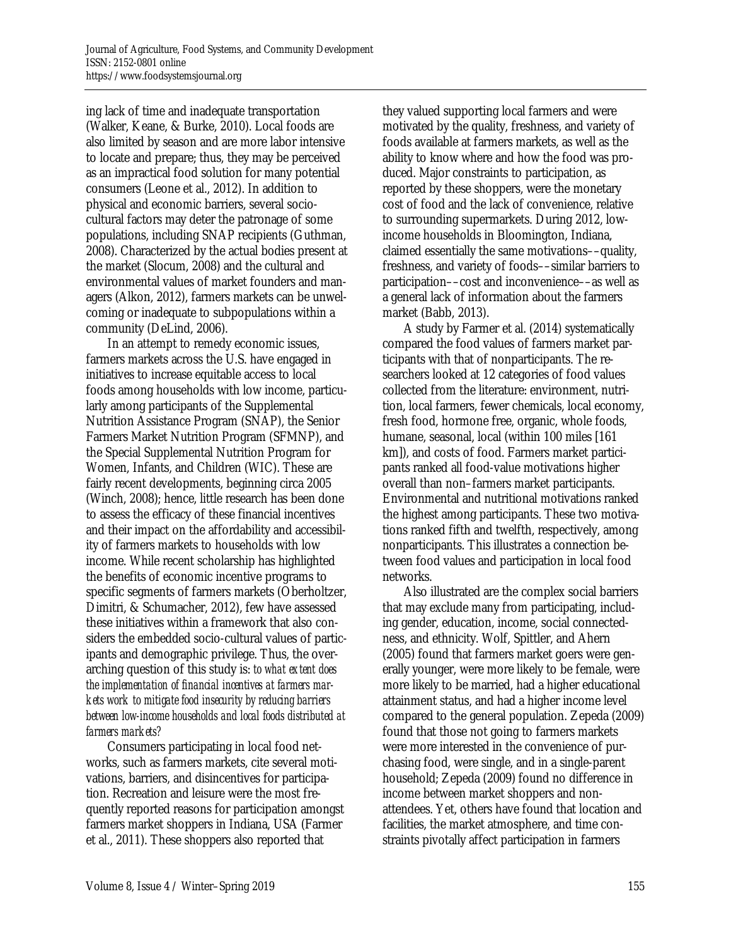ing lack of time and inadequate transportation (Walker, Keane, & Burke, 2010). Local foods are also limited by season and are more labor intensive to locate and prepare; thus, they may be perceived as an impractical food solution for many potential consumers (Leone et al., 2012). In addition to physical and economic barriers, several sociocultural factors may deter the patronage of some populations, including SNAP recipients (Guthman, 2008). Characterized by the actual bodies present at the market (Slocum, 2008) and the cultural and environmental values of market founders and managers (Alkon, 2012), farmers markets can be unwelcoming or inadequate to subpopulations within a community (DeLind, 2006).

 In an attempt to remedy economic issues, farmers markets across the U.S. have engaged in initiatives to increase equitable access to local foods among households with low income, particularly among participants of the Supplemental Nutrition Assistance Program (SNAP), the Senior Farmers Market Nutrition Program (SFMNP), and the Special Supplemental Nutrition Program for Women, Infants, and Children (WIC). These are fairly recent developments, beginning circa 2005 (Winch, 2008); hence, little research has been done to assess the efficacy of these financial incentives and their impact on the affordability and accessibility of farmers markets to households with low income. While recent scholarship has highlighted the benefits of economic incentive programs to specific segments of farmers markets (Oberholtzer, Dimitri, & Schumacher, 2012), few have assessed these initiatives within a framework that also considers the embedded socio-cultural values of participants and demographic privilege. Thus, the overarching question of this study is: *to what extent does the implementation of financial incentives at farmers markets work to mitigate food insecurity by reducing barriers between low-income households and local foods distributed at farmers markets?*

 Consumers participating in local food networks, such as farmers markets, cite several motivations, barriers, and disincentives for participation. Recreation and leisure were the most frequently reported reasons for participation amongst farmers market shoppers in Indiana, USA (Farmer et al., 2011). These shoppers also reported that

they valued supporting local farmers and were motivated by the quality, freshness, and variety of foods available at farmers markets, as well as the ability to know where and how the food was produced. Major constraints to participation, as reported by these shoppers, were the monetary cost of food and the lack of convenience, relative to surrounding supermarkets. During 2012, lowincome households in Bloomington, Indiana, claimed essentially the same motivations––quality, freshness, and variety of foods––similar barriers to participation––cost and inconvenience––as well as a general lack of information about the farmers market (Babb, 2013).

 A study by Farmer et al. (2014) systematically compared the food values of farmers market participants with that of nonparticipants. The researchers looked at 12 categories of food values collected from the literature: environment, nutrition, local farmers, fewer chemicals, local economy, fresh food, hormone free, organic, whole foods, humane, seasonal, local (within 100 miles [161 km]), and costs of food. Farmers market participants ranked all food-value motivations higher overall than non–farmers market participants. Environmental and nutritional motivations ranked the highest among participants. These two motivations ranked fifth and twelfth, respectively, among nonparticipants. This illustrates a connection between food values and participation in local food networks.

 Also illustrated are the complex social barriers that may exclude many from participating, including gender, education, income, social connectedness, and ethnicity. Wolf, Spittler, and Ahern (2005) found that farmers market goers were generally younger, were more likely to be female, were more likely to be married, had a higher educational attainment status, and had a higher income level compared to the general population. Zepeda (2009) found that those not going to farmers markets were more interested in the convenience of purchasing food, were single, and in a single-parent household; Zepeda (2009) found no difference in income between market shoppers and nonattendees. Yet, others have found that location and facilities, the market atmosphere, and time constraints pivotally affect participation in farmers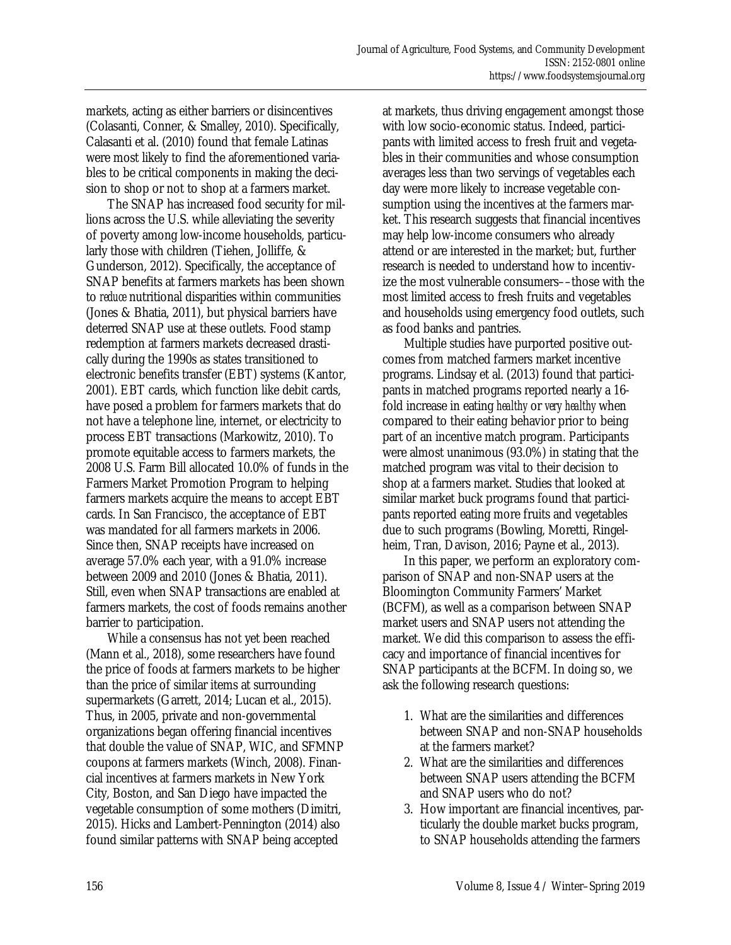markets, acting as either barriers or disincentives (Colasanti, Conner, & Smalley, 2010). Specifically, Calasanti et al. (2010) found that female Latinas were most likely to find the aforementioned variables to be critical components in making the decision to shop or not to shop at a farmers market.

 The SNAP has increased food security for millions across the U.S. while alleviating the severity of poverty among low-income households, particularly those with children (Tiehen, Jolliffe, & Gunderson, 2012). Specifically, the acceptance of SNAP benefits at farmers markets has been shown to *reduce* nutritional disparities within communities (Jones & Bhatia, 2011), but physical barriers have deterred SNAP use at these outlets. Food stamp redemption at farmers markets decreased drastically during the 1990s as states transitioned to electronic benefits transfer (EBT) systems (Kantor, 2001). EBT cards, which function like debit cards, have posed a problem for farmers markets that do not have a telephone line, internet, or electricity to process EBT transactions (Markowitz, 2010). To promote equitable access to farmers markets, the 2008 U.S. Farm Bill allocated 10.0% of funds in the Farmers Market Promotion Program to helping farmers markets acquire the means to accept EBT cards. In San Francisco, the acceptance of EBT was mandated for all farmers markets in 2006. Since then, SNAP receipts have increased on average 57.0% each year, with a 91.0% increase between 2009 and 2010 (Jones & Bhatia, 2011). Still, even when SNAP transactions are enabled at farmers markets, the cost of foods remains another barrier to participation.

 While a consensus has not yet been reached (Mann et al., 2018), some researchers have found the price of foods at farmers markets to be higher than the price of similar items at surrounding supermarkets (Garrett, 2014; Lucan et al., 2015). Thus, in 2005, private and non-governmental organizations began offering financial incentives that double the value of SNAP, WIC, and SFMNP coupons at farmers markets (Winch, 2008). Financial incentives at farmers markets in New York City, Boston, and San Diego have impacted the vegetable consumption of some mothers (Dimitri, 2015). Hicks and Lambert-Pennington (2014) also found similar patterns with SNAP being accepted

at markets, thus driving engagement amongst those with low socio-economic status. Indeed, participants with limited access to fresh fruit and vegetables in their communities and whose consumption averages less than two servings of vegetables each day were more likely to increase vegetable consumption using the incentives at the farmers market. This research suggests that financial incentives may help low-income consumers who already attend or are interested in the market; but, further research is needed to understand how to incentivize the most vulnerable consumers––those with the most limited access to fresh fruits and vegetables and households using emergency food outlets, such as food banks and pantries.

 Multiple studies have purported positive outcomes from matched farmers market incentive programs. Lindsay et al. (2013) found that participants in matched programs reported nearly a 16 fold increase in eating *healthy* or *very healthy* when compared to their eating behavior prior to being part of an incentive match program. Participants were almost unanimous (93.0%) in stating that the matched program was vital to their decision to shop at a farmers market. Studies that looked at similar market buck programs found that participants reported eating more fruits and vegetables due to such programs (Bowling, Moretti, Ringelheim, Tran, Davison, 2016; Payne et al., 2013).

 In this paper, we perform an exploratory comparison of SNAP and non-SNAP users at the Bloomington Community Farmers' Market (BCFM), as well as a comparison between SNAP market users and SNAP users not attending the market. We did this comparison to assess the efficacy and importance of financial incentives for SNAP participants at the BCFM. In doing so, we ask the following research questions:

- 1. What are the similarities and differences between SNAP and non-SNAP households at the farmers market?
- 2. What are the similarities and differences between SNAP users attending the BCFM and SNAP users who do not?
- 3. How important are financial incentives, particularly the double market bucks program, to SNAP households attending the farmers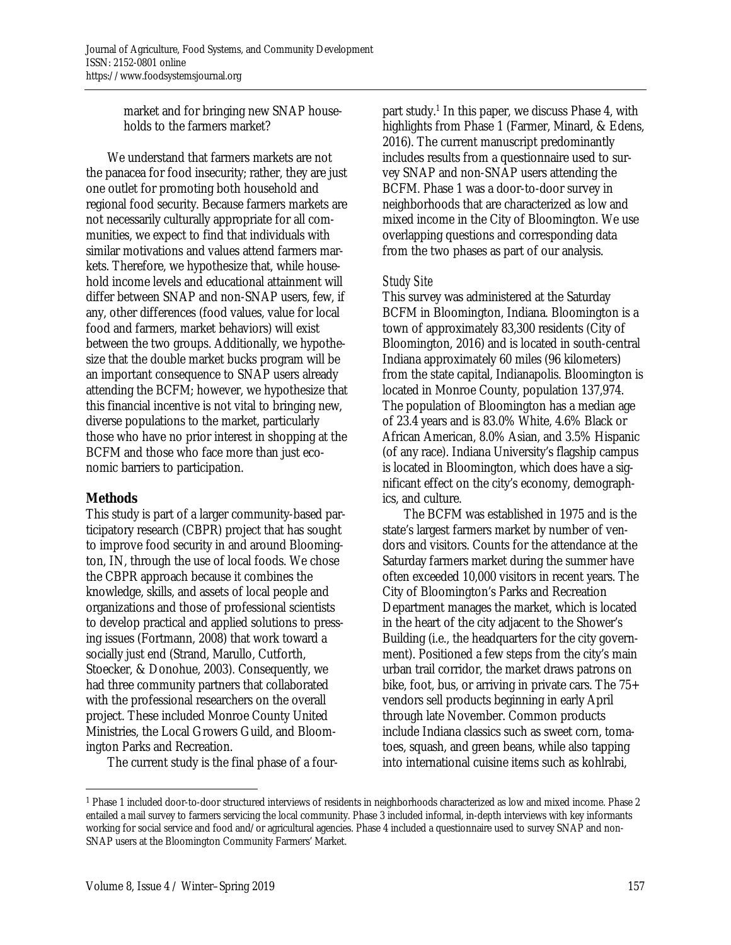market and for bringing new SNAP households to the farmers market?

 We understand that farmers markets are not the panacea for food insecurity; rather, they are just one outlet for promoting both household and regional food security. Because farmers markets are not necessarily culturally appropriate for all communities, we expect to find that individuals with similar motivations and values attend farmers markets. Therefore, we hypothesize that, while household income levels and educational attainment will differ between SNAP and non-SNAP users, few, if any, other differences (food values, value for local food and farmers, market behaviors) will exist between the two groups. Additionally, we hypothesize that the double market bucks program will be an important consequence to SNAP users already attending the BCFM; however, we hypothesize that this financial incentive is not vital to bringing new, diverse populations to the market, particularly those who have no prior interest in shopping at the BCFM and those who face more than just economic barriers to participation.

### **Methods**

 $\overline{a}$ 

This study is part of a larger community-based participatory research (CBPR) project that has sought to improve food security in and around Bloomington, IN, through the use of local foods. We chose the CBPR approach because it combines the knowledge, skills, and assets of local people and organizations and those of professional scientists to develop practical and applied solutions to pressing issues (Fortmann, 2008) that work toward a socially just end (Strand, Marullo, Cutforth, Stoecker, & Donohue, 2003). Consequently, we had three community partners that collaborated with the professional researchers on the overall project. These included Monroe County United Ministries, the Local Growers Guild, and Bloomington Parks and Recreation.

The current study is the final phase of a four-

part study.<sup>1</sup> In this paper, we discuss Phase 4, with highlights from Phase 1 (Farmer, Minard, & Edens, 2016). The current manuscript predominantly includes results from a questionnaire used to survey SNAP and non-SNAP users attending the BCFM. Phase 1 was a door-to-door survey in neighborhoods that are characterized as low and mixed income in the City of Bloomington. We use overlapping questions and corresponding data from the two phases as part of our analysis.

#### *Study Site*

This survey was administered at the Saturday BCFM in Bloomington, Indiana. Bloomington is a town of approximately 83,300 residents (City of Bloomington, 2016) and is located in south-central Indiana approximately 60 miles (96 kilometers) from the state capital, Indianapolis. Bloomington is located in Monroe County, population 137,974. The population of Bloomington has a median age of 23.4 years and is 83.0% White, 4.6% Black or African American, 8.0% Asian, and 3.5% Hispanic (of any race). Indiana University's flagship campus is located in Bloomington, which does have a significant effect on the city's economy, demographics, and culture.

 The BCFM was established in 1975 and is the state's largest farmers market by number of vendors and visitors. Counts for the attendance at the Saturday farmers market during the summer have often exceeded 10,000 visitors in recent years. The City of Bloomington's Parks and Recreation Department manages the market, which is located in the heart of the city adjacent to the Shower's Building (i.e., the headquarters for the city government). Positioned a few steps from the city's main urban trail corridor, the market draws patrons on bike, foot, bus, or arriving in private cars. The 75+ vendors sell products beginning in early April through late November. Common products include Indiana classics such as sweet corn, tomatoes, squash, and green beans, while also tapping into international cuisine items such as kohlrabi,

<sup>1</sup> Phase 1 included door-to-door structured interviews of residents in neighborhoods characterized as low and mixed income. Phase 2 entailed a mail survey to farmers servicing the local community. Phase 3 included informal, in-depth interviews with key informants working for social service and food and/or agricultural agencies. Phase 4 included a questionnaire used to survey SNAP and non-SNAP users at the Bloomington Community Farmers' Market.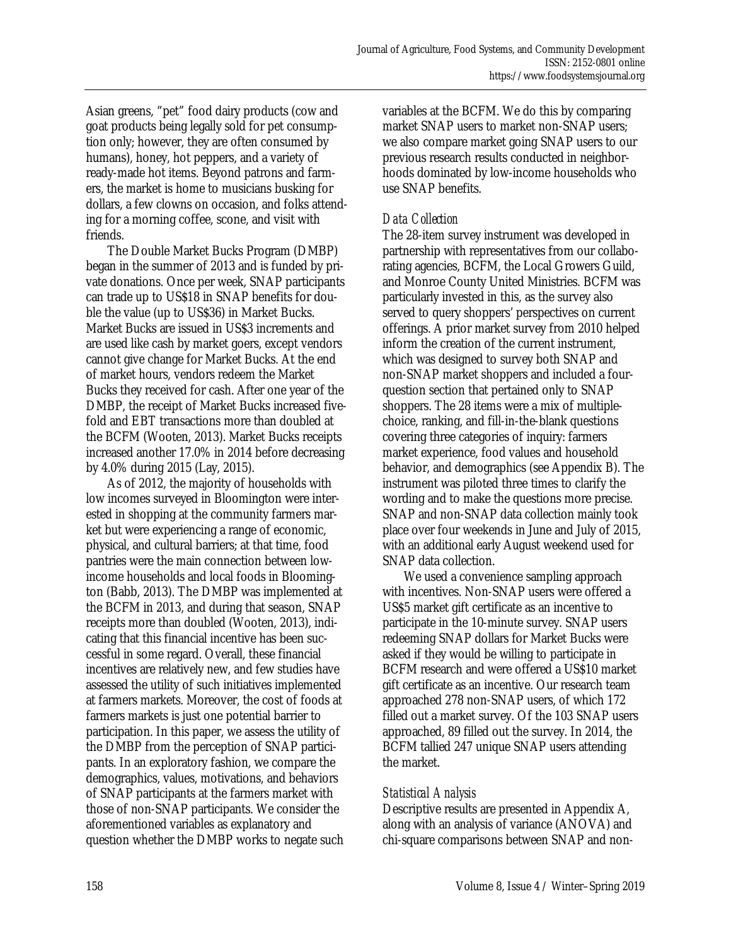Asian greens, "pet" food dairy products (cow and goat products being legally sold for pet consumption only; however, they are often consumed by humans), honey, hot peppers, and a variety of ready-made hot items. Beyond patrons and farmers, the market is home to musicians busking for dollars, a few clowns on occasion, and folks attending for a morning coffee, scone, and visit with friends.

 The Double Market Bucks Program (DMBP) began in the summer of 2013 and is funded by private donations. Once per week, SNAP participants can trade up to US\$18 in SNAP benefits for double the value (up to US\$36) in Market Bucks. Market Bucks are issued in US\$3 increments and are used like cash by market goers, except vendors cannot give change for Market Bucks. At the end of market hours, vendors redeem the Market Bucks they received for cash. After one year of the DMBP, the receipt of Market Bucks increased fivefold and EBT transactions more than doubled at the BCFM (Wooten, 2013). Market Bucks receipts increased another 17.0% in 2014 before decreasing by 4.0% during 2015 (Lay, 2015).

 As of 2012, the majority of households with low incomes surveyed in Bloomington were interested in shopping at the community farmers market but were experiencing a range of economic, physical, and cultural barriers; at that time, food pantries were the main connection between lowincome households and local foods in Bloomington (Babb, 2013). The DMBP was implemented at the BCFM in 2013, and during that season, SNAP receipts more than doubled (Wooten, 2013), indicating that this financial incentive has been successful in some regard. Overall, these financial incentives are relatively new, and few studies have assessed the utility of such initiatives implemented at farmers markets. Moreover, the cost of foods at farmers markets is just one potential barrier to participation. In this paper, we assess the utility of the DMBP from the perception of SNAP participants. In an exploratory fashion, we compare the demographics, values, motivations, and behaviors of SNAP participants at the farmers market with those of non-SNAP participants. We consider the aforementioned variables as explanatory and question whether the DMBP works to negate such variables at the BCFM. We do this by comparing market SNAP users to market non-SNAP users; we also compare market going SNAP users to our previous research results conducted in neighborhoods dominated by low-income households who use SNAP benefits.

#### *Data Collection*

The 28-item survey instrument was developed in partnership with representatives from our collaborating agencies, BCFM, the Local Growers Guild, and Monroe County United Ministries. BCFM was particularly invested in this, as the survey also served to query shoppers' perspectives on current offerings. A prior market survey from 2010 helped inform the creation of the current instrument, which was designed to survey both SNAP and non-SNAP market shoppers and included a fourquestion section that pertained only to SNAP shoppers. The 28 items were a mix of multiplechoice, ranking, and fill-in-the-blank questions covering three categories of inquiry: farmers market experience, food values and household behavior, and demographics (see Appendix B). The instrument was piloted three times to clarify the wording and to make the questions more precise. SNAP and non-SNAP data collection mainly took place over four weekends in June and July of 2015, with an additional early August weekend used for SNAP data collection.

 We used a convenience sampling approach with incentives. Non-SNAP users were offered a US\$5 market gift certificate as an incentive to participate in the 10-minute survey. SNAP users redeeming SNAP dollars for Market Bucks were asked if they would be willing to participate in BCFM research and were offered a US\$10 market gift certificate as an incentive. Our research team approached 278 non-SNAP users, of which 172 filled out a market survey. Of the 103 SNAP users approached, 89 filled out the survey. In 2014, the BCFM tallied 247 unique SNAP users attending the market.

#### *Statistical Analysis*

Descriptive results are presented in Appendix A, along with an analysis of variance (ANOVA) and chi-square comparisons between SNAP and non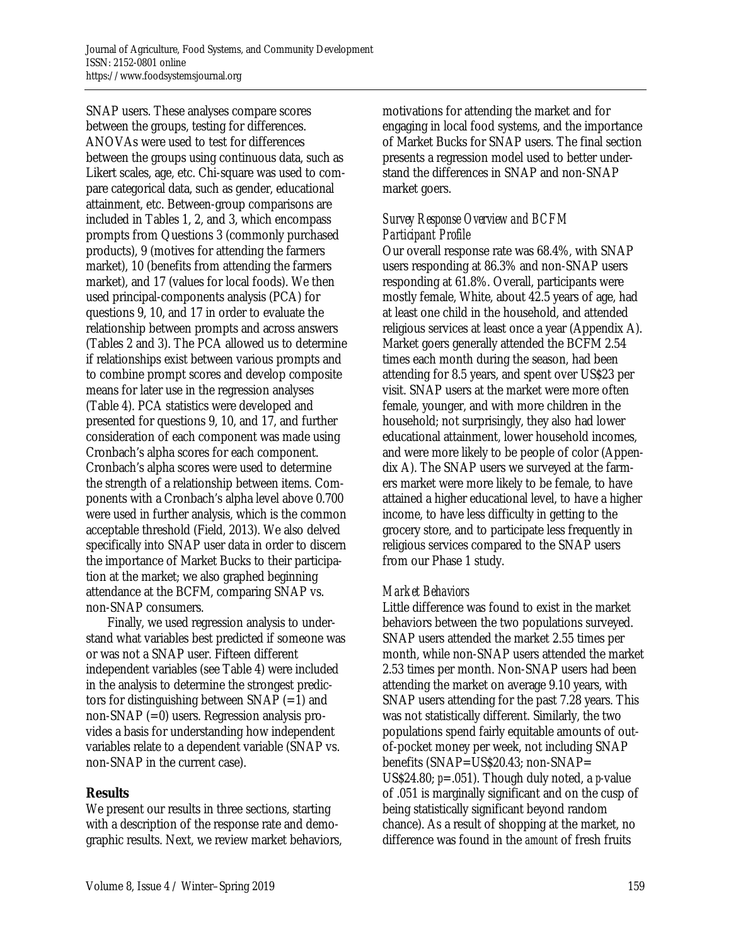SNAP users. These analyses compare scores between the groups, testing for differences. ANOVAs were used to test for differences between the groups using continuous data, such as Likert scales, age, etc. Chi-square was used to compare categorical data, such as gender, educational attainment, etc. Between-group comparisons are included in Tables 1, 2, and 3, which encompass prompts from Questions 3 (commonly purchased products), 9 (motives for attending the farmers market), 10 (benefits from attending the farmers market), and 17 (values for local foods). We then used principal-components analysis (PCA) for questions 9, 10, and 17 in order to evaluate the relationship between prompts and across answers (Tables 2 and 3). The PCA allowed us to determine if relationships exist between various prompts and to combine prompt scores and develop composite means for later use in the regression analyses (Table 4). PCA statistics were developed and presented for questions 9, 10, and 17, and further consideration of each component was made using Cronbach's alpha scores for each component. Cronbach's alpha scores were used to determine the strength of a relationship between items. Components with a Cronbach's alpha level above 0.700 were used in further analysis, which is the common acceptable threshold (Field, 2013). We also delved specifically into SNAP user data in order to discern the importance of Market Bucks to their participation at the market; we also graphed beginning attendance at the BCFM, comparing SNAP vs. non-SNAP consumers.

 Finally, we used regression analysis to understand what variables best predicted if someone was or was not a SNAP user. Fifteen different independent variables (see Table 4) were included in the analysis to determine the strongest predictors for distinguishing between  $SNAP (=1)$  and non-SNAP (=0) users. Regression analysis provides a basis for understanding how independent variables relate to a dependent variable (SNAP vs. non-SNAP in the current case).

#### **Results**

We present our results in three sections, starting with a description of the response rate and demographic results. Next, we review market behaviors, motivations for attending the market and for engaging in local food systems, and the importance of Market Bucks for SNAP users. The final section presents a regression model used to better understand the differences in SNAP and non-SNAP market goers.

#### *Survey Response Overview and BCFM Participant Profile*

Our overall response rate was 68.4%, with SNAP users responding at 86.3% and non-SNAP users responding at 61.8%. Overall, participants were mostly female, White, about 42.5 years of age, had at least one child in the household, and attended religious services at least once a year (Appendix A). Market goers generally attended the BCFM 2.54 times each month during the season, had been attending for 8.5 years, and spent over US\$23 per visit. SNAP users at the market were more often female, younger, and with more children in the household; not surprisingly, they also had lower educational attainment, lower household incomes, and were more likely to be people of color (Appendix A). The SNAP users we surveyed at the farmers market were more likely to be female, to have attained a higher educational level, to have a higher income, to have less difficulty in getting to the grocery store, and to participate less frequently in religious services compared to the SNAP users from our Phase 1 study.

#### *Market Behaviors*

Little difference was found to exist in the market behaviors between the two populations surveyed. SNAP users attended the market 2.55 times per month, while non-SNAP users attended the market 2.53 times per month. Non-SNAP users had been attending the market on average 9.10 years, with SNAP users attending for the past 7.28 years. This was not statistically different. Similarly, the two populations spend fairly equitable amounts of outof-pocket money per week, not including SNAP benefits (SNAP=US\$20.43; non-SNAP= US\$24.80; *p*=.051). Though duly noted, a *p-*value of .051 is marginally significant and on the cusp of being statistically significant beyond random chance). As a result of shopping at the market, no difference was found in the *amount* of fresh fruits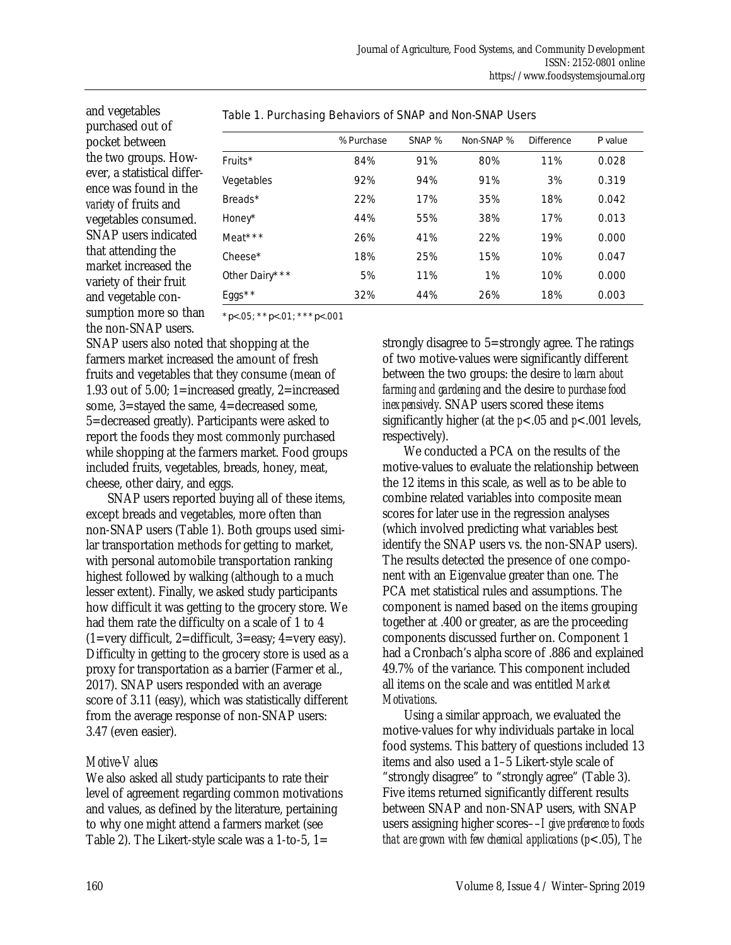and vegetables purchased out of pocket between the two groups. However, a statistical difference was found in the *variety* of fruits and vegetables consumed. SNAP users indicated that attending the market increased the variety of their fruit and vegetable consumption more so than the non-SNAP users.

|                | % Purchase | SNAP % | Non-SNAP % | <b>Difference</b> | Pvalue |
|----------------|------------|--------|------------|-------------------|--------|
| Fruits $*$     | 84%        | 91%    | 80%        | 11%               | 0.028  |
| Vegetables     | 92%        | 94%    | 91%        | 3%                | 0.319  |
| Breads $*$     | 22%        | 17%    | 35%        | 18%               | 0.042  |
| Honey*         | 44%        | 55%    | 38%        | 17%               | 0.013  |
| Meat***        | 26%        | 41%    | 22%        | 19%               | 0.000  |
| $Check*$       | 18%        | 25%    | 15%        | 10%               | 0.047  |
| Other Dairy*** | 5%         | 11%    | 1%         | 10%               | 0.000  |
| $E$ ggs $*$    | 32%        | 44%    | 26%        | 18%               | 0.003  |

#### Table 1. Purchasing Behaviors of SNAP and Non-SNAP Users

\**p*<.05; \*\**p*<.01; \*\*\**p*<.001

SNAP users also noted that shopping at the farmers market increased the amount of fresh fruits and vegetables that they consume (mean of 1.93 out of 5.00; 1=increased greatly, 2=increased some, 3=stayed the same, 4=decreased some, 5=decreased greatly). Participants were asked to report the foods they most commonly purchased while shopping at the farmers market. Food groups included fruits, vegetables, breads, honey, meat, cheese, other dairy, and eggs.

 SNAP users reported buying all of these items, except breads and vegetables, more often than non-SNAP users (Table 1). Both groups used similar transportation methods for getting to market, with personal automobile transportation ranking highest followed by walking (although to a much lesser extent). Finally, we asked study participants how difficult it was getting to the grocery store. We had them rate the difficulty on a scale of 1 to 4  $(1=very\ difficult, 2=difficult, 3=easy; 4=very\ easy).$ Difficulty in getting to the grocery store is used as a proxy for transportation as a barrier (Farmer et al., 2017). SNAP users responded with an average score of 3.11 (easy), which was statistically different from the average response of non-SNAP users: 3.47 (even easier).

#### *Motive-Values*

We also asked all study participants to rate their level of agreement regarding common motivations and values, as defined by the literature, pertaining to why one might attend a farmers market (see Table 2). The Likert-style scale was a 1-to-5, 1=

strongly disagree to 5=strongly agree. The ratings of two motive-values were significantly different between the two groups: the desire *to learn about farming and gardening* and the desire *to purchase food inexpensively*. SNAP users scored these items significantly higher (at the  $p<.05$  and  $p<.001$  levels, respectively).

 We conducted a PCA on the results of the motive-values to evaluate the relationship between the 12 items in this scale, as well as to be able to combine related variables into composite mean scores for later use in the regression analyses (which involved predicting what variables best identify the SNAP users vs. the non-SNAP users). The results detected the presence of one component with an Eigenvalue greater than one. The PCA met statistical rules and assumptions. The component is named based on the items grouping together at .400 or greater, as are the proceeding components discussed further on. Component 1 had a Cronbach's alpha score of .886 and explained 49.7% of the variance. This component included all items on the scale and was entitled *Market Motivations*.

 Using a similar approach, we evaluated the motive-values for why individuals partake in local food systems. This battery of questions included 13 items and also used a 1–5 Likert-style scale of "strongly disagree" to "strongly agree" (Table 3). Five items returned significantly different results between SNAP and non-SNAP users, with SNAP users assigning higher scores––*I give preference to foods that are grown with few chemical applications* (*p*<.05), *The*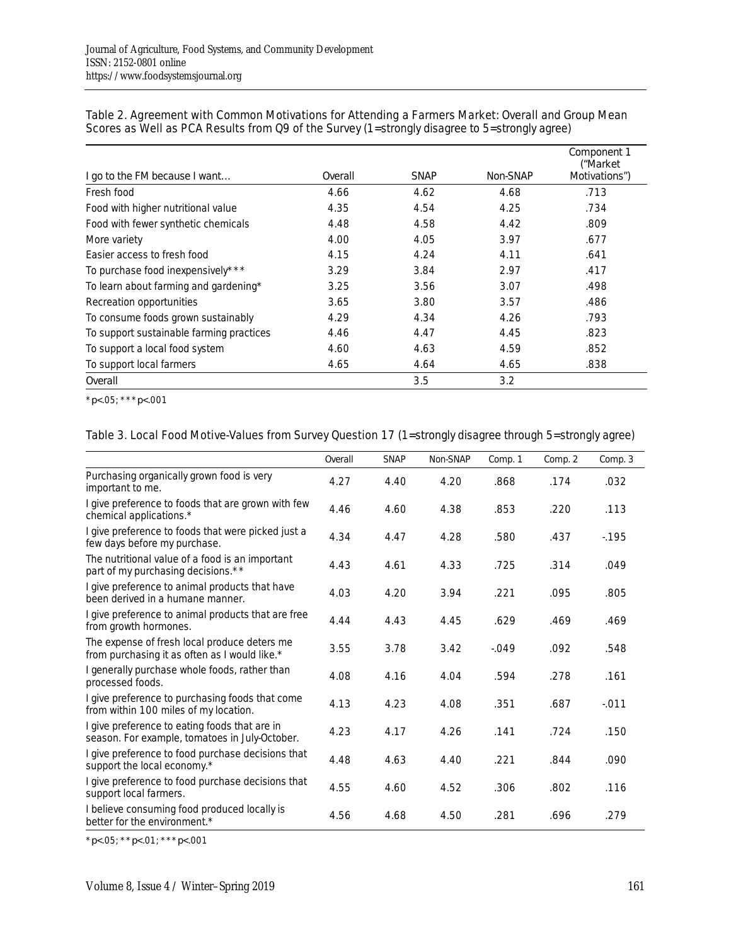| I go to the FM because I want            | Overall | <b>SNAP</b> | Non-SNAP | Component 1<br>("Market<br>Motivations") |
|------------------------------------------|---------|-------------|----------|------------------------------------------|
| Fresh food                               | 4.66    | 4.62        | 4.68     | .713                                     |
| Food with higher nutritional value       | 4.35    | 4.54        | 4.25     | .734                                     |
| Food with fewer synthetic chemicals      | 4.48    | 4.58        | 4.42     | .809                                     |
| More variety                             | 4.00    | 4.05        | 3.97     | .677                                     |
| Easier access to fresh food              | 4.15    | 4.24        | 4.11     | .641                                     |
| To purchase food inexpensively***        | 3.29    | 3.84        | 2.97     | .417                                     |
| To learn about farming and gardening*    | 3.25    | 3.56        | 3.07     | .498                                     |
| Recreation opportunities                 | 3.65    | 3.80        | 3.57     | .486                                     |
| To consume foods grown sustainably       | 4.29    | 4.34        | 4.26     | .793                                     |
| To support sustainable farming practices | 4.46    | 4.47        | 4.45     | .823                                     |
| To support a local food system           | 4.60    | 4.63        | 4.59     | .852                                     |
| To support local farmers                 | 4.65    | 4.64        | 4.65     | .838                                     |
| Overall                                  |         | 3.5         | 3.2      |                                          |

#### Table 2. Agreement with Common Motivations for Attending a Farmers Market: Overall and Group Mean Scores as Well as PCA Results from Q9 of the Survey (1=strongly disagree to 5=strongly agree)

\**p*<.05; \*\*\**p*<.001

#### Table 3. Local Food Motive-Values from Survey Question 17 (1=strongly disagree through 5=strongly agree)

|                                                                                                 | Overall | <b>SNAP</b> | Non-SNAP | Comp. 1  | Comp. 2 | Comp. 3 |
|-------------------------------------------------------------------------------------------------|---------|-------------|----------|----------|---------|---------|
| Purchasing organically grown food is very<br>important to me.                                   | 4.27    | 4.40        | 4.20     | .868     | .174    | .032    |
| I give preference to foods that are grown with few<br>chemical applications.*                   | 4.46    | 4.60        | 4.38     | .853     | .220    | .113    |
| I give preference to foods that were picked just a<br>few days before my purchase.              | 4.34    | 4.47        | 4.28     | .580     | .437    | $-195$  |
| The nutritional value of a food is an important<br>part of my purchasing decisions.**           | 4.43    | 4.61        | 4.33     | .725     | .314    | .049    |
| I give preference to animal products that have<br>been derived in a humane manner.              | 4.03    | 4.20        | 3.94     | .221     | .095    | .805    |
| I give preference to animal products that are free<br>from growth hormones.                     | 4.44    | 4.43        | 4.45     | .629     | .469    | .469    |
| The expense of fresh local produce deters me<br>from purchasing it as often as I would like.*   | 3.55    | 3.78        | 3.42     | $-0.049$ | .092    | .548    |
| I generally purchase whole foods, rather than<br>processed foods.                               | 4.08    | 4.16        | 4.04     | .594     | .278    | .161    |
| I give preference to purchasing foods that come<br>from within 100 miles of my location.        | 4.13    | 4.23        | 4.08     | .351     | .687    | $-011$  |
| I give preference to eating foods that are in<br>season. For example, tomatoes in July-October. | 4.23    | 4.17        | 4.26     | .141     | .724    | .150    |
| I give preference to food purchase decisions that<br>support the local economy.*                | 4.48    | 4.63        | 4.40     | .221     | .844    | .090    |
| I give preference to food purchase decisions that<br>support local farmers.                     | 4.55    | 4.60        | 4.52     | .306     | .802    | .116    |
| I believe consuming food produced locally is<br>better for the environment.*                    | 4.56    | 4.68        | 4.50     | .281     | .696    | .279    |

\**p*<.05; \*\**p*<.01; \*\*\**p*<.001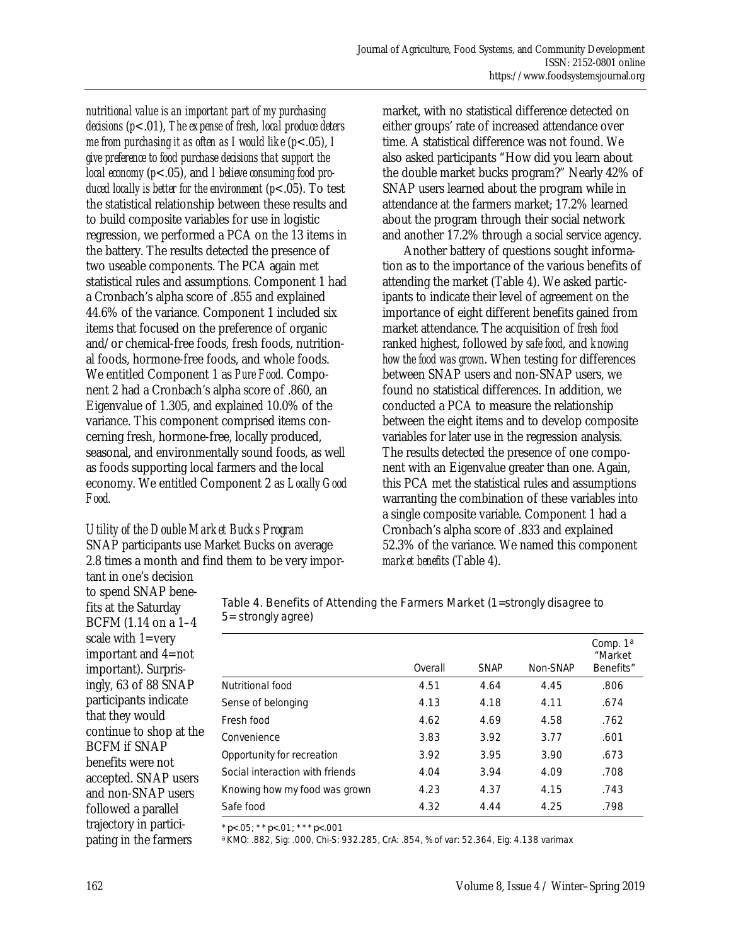*nutritional value is an important part of my purchasing decisions* (*p*<.01), *The expense of fresh, local produce deters me from purchasing it as often as I would like* (*p*<.05), *I give preference to food purchase decisions that support the local economy* (*p*<.05), and *I believe consuming food produced locally is better for the environment* (*p*<.05). To test the statistical relationship between these results and to build composite variables for use in logistic regression, we performed a PCA on the 13 items in the battery. The results detected the presence of two useable components. The PCA again met statistical rules and assumptions. Component 1 had a Cronbach's alpha score of .855 and explained 44.6% of the variance. Component 1 included six items that focused on the preference of organic and/or chemical-free foods, fresh foods, nutritional foods, hormone-free foods, and whole foods. We entitled Component 1 as *Pure Food*. Component 2 had a Cronbach's alpha score of .860, an Eigenvalue of 1.305, and explained 10.0% of the variance. This component comprised items concerning fresh, hormone-free, locally produced, seasonal, and environmentally sound foods, as well as foods supporting local farmers and the local economy. We entitled Component 2 as *Locally Good Food.*

#### *Utility of the Double Market Bucks Program*  SNAP participants use Market Bucks on average 2.8 times a month and find them to be very impor-

market, with no statistical difference detected on either groups' rate of increased attendance over time. A statistical difference was not found. We also asked participants "How did you learn about the double market bucks program?" Nearly 42% of SNAP users learned about the program while in attendance at the farmers market; 17.2% learned about the program through their social network and another 17.2% through a social service agency.

 Another battery of questions sought information as to the importance of the various benefits of attending the market (Table 4). We asked participants to indicate their level of agreement on the importance of eight different benefits gained from market attendance. The acquisition of *fresh food* ranked highest, followed by *safe food*, and *knowing how the food was grown*. When testing for differences between SNAP users and non-SNAP users, we found no statistical differences. In addition, we conducted a PCA to measure the relationship between the eight items and to develop composite variables for later use in the regression analysis. The results detected the presence of one component with an Eigenvalue greater than one. Again, this PCA met the statistical rules and assumptions warranting the combination of these variables into a single composite variable. Component 1 had a Cronbach's alpha score of .833 and explained 52.3% of the variance. We named this component *market benefits* (Table 4).

tant in one's decision to spend SNAP benefits at the Saturday BCFM (1.14 on a 1–4 scale with 1=very important and 4=not important). Surprisingly, 63 of 88 SNAP participants indicate that they would continue to shop at the BCFM if SNAP benefits were not accepted. SNAP users and non-SNAP users followed a parallel trajectory in participating in the farmers

| Table 4. Benefits of Attending the Farmers Market (1=strongly disagree to |  |
|---------------------------------------------------------------------------|--|
| 5 = strongly agree)                                                       |  |

|                                 | Overall | <b>SNAP</b> | Non-SNAP | Comp. 1 <sup>a</sup><br>"Market<br>Benefits" |
|---------------------------------|---------|-------------|----------|----------------------------------------------|
| Nutritional food                | 4.51    | 4.64        | 4.45     | .806                                         |
| Sense of belonging              | 4.13    | 4.18        | 4.11     | .674                                         |
| Fresh food                      | 4.62    | 4.69        | 4.58     | .762                                         |
| Convenience                     | 3.83    | 3.92        | 3.77     | .601                                         |
| Opportunity for recreation      | 3.92    | 3.95        | 3.90     | .673                                         |
| Social interaction with friends | 4.04    | 3.94        | 4.09     | .708                                         |
| Knowing how my food was grown   | 4.23    | 4.37        | 4.15     | .743                                         |
| Safe food                       | 4.32    | 4.44        | 4.25     | .798                                         |

\**p*<.05; \*\**p*<.01; \*\*\**p*<.001

a KMO: .882, Sig: .000, Chi-S: 932.285, CrA: .854, % of var: 52.364, Eig: 4.138 varimax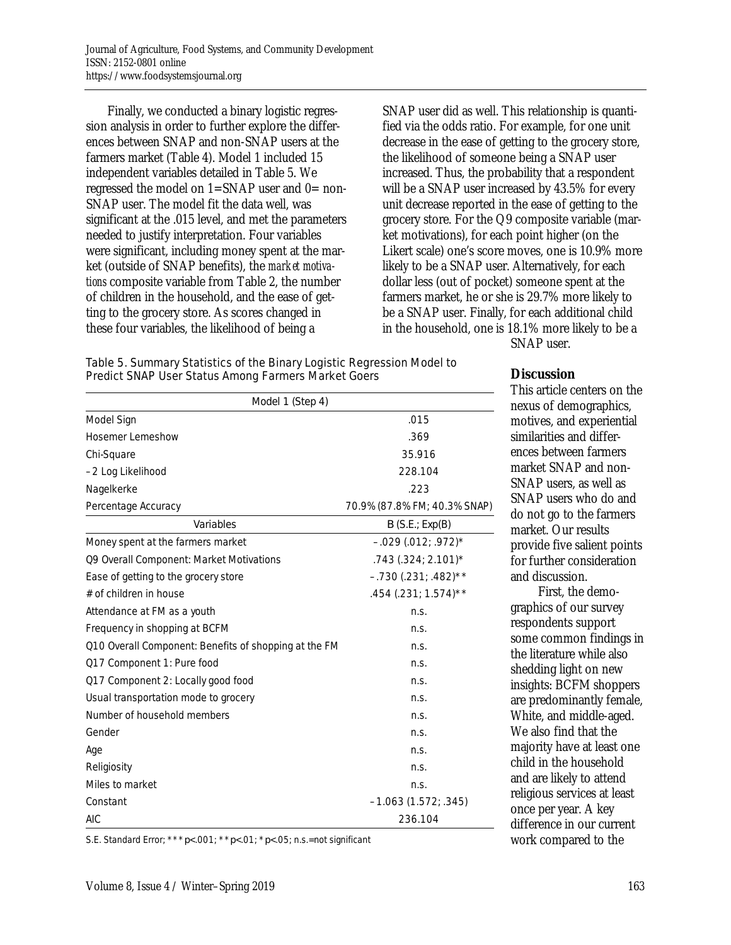Finally, we conducted a binary logistic regression analysis in order to further explore the differences between SNAP and non-SNAP users at the farmers market (Table 4). Model 1 included 15 independent variables detailed in Table 5. We regressed the model on  $1 = SNAP$  user and  $0 = non-$ SNAP user. The model fit the data well, was significant at the .015 level, and met the parameters needed to justify interpretation. Four variables were significant, including money spent at the market (outside of SNAP benefits), the *market motivations* composite variable from Table 2, the number of children in the household, and the ease of getting to the grocery store. As scores changed in these four variables, the likelihood of being a

SNAP user did as well. This relationship is quantified via the odds ratio. For example, for one unit decrease in the ease of getting to the grocery store, the likelihood of someone being a SNAP user increased. Thus, the probability that a respondent will be a SNAP user increased by 43.5% for every unit decrease reported in the ease of getting to the grocery store. For the Q9 composite variable (market motivations), for each point higher (on the Likert scale) one's score moves, one is 10.9% more likely to be a SNAP user. Alternatively, for each dollar less (out of pocket) someone spent at the farmers market, he or she is 29.7% more likely to be a SNAP user. Finally, for each additional child in the household, one is 18.1% more likely to be a SNAP user.

| Table 5. Summary Statistics of the Binary Logistic Regression Model to |
|------------------------------------------------------------------------|
| <b>Predict SNAP User Status Among Farmers Market Goers</b>             |

| Model 1 (Step 4)                                      |                              |  |  |  |  |  |
|-------------------------------------------------------|------------------------------|--|--|--|--|--|
| Model Sign                                            | .015                         |  |  |  |  |  |
| <b>Hosemer Lemeshow</b>                               | .369                         |  |  |  |  |  |
| Chi-Square                                            | 35.916                       |  |  |  |  |  |
| -2 Log Likelihood                                     | 228.104                      |  |  |  |  |  |
| Nagelkerke                                            | .223                         |  |  |  |  |  |
| Percentage Accuracy                                   | 70.9% (87.8% FM; 40.3% SNAP) |  |  |  |  |  |
| Variables                                             | B(S.E.; Exp(B))              |  |  |  |  |  |
| Money spent at the farmers market                     | $-.029(.012; .972)$ *        |  |  |  |  |  |
| Q9 Overall Component: Market Motivations              | $.743(.324; 2.101)^*$        |  |  |  |  |  |
| Ease of getting to the grocery store                  | $-.730(.231; .482)$ **       |  |  |  |  |  |
| # of children in house                                | .454 (.231; 1.574)**         |  |  |  |  |  |
| Attendance at FM as a youth                           | n.S.                         |  |  |  |  |  |
| Frequency in shopping at BCFM                         | n.s.                         |  |  |  |  |  |
| Q10 Overall Component: Benefits of shopping at the FM | n.S.                         |  |  |  |  |  |
| Q17 Component 1: Pure food                            | n.s.                         |  |  |  |  |  |
| Q17 Component 2: Locally good food                    | n.S.                         |  |  |  |  |  |
| Usual transportation mode to grocery                  | n.S.                         |  |  |  |  |  |
| Number of household members                           | n.S.                         |  |  |  |  |  |
| Gender                                                | n.s.                         |  |  |  |  |  |
| Age                                                   | n.S.                         |  |  |  |  |  |
| Religiosity                                           | n.s.                         |  |  |  |  |  |
| Miles to market                                       | n.S.                         |  |  |  |  |  |

**Discussion** 

This article centers on the us of demographics, tives, and experiential ilarities and differes between farmers ket SNAP and non-AP users, as well as AP users who do and not go to the farmers ket. Our results<sup>.</sup> vide five salient points further consideration discussion.

 First, the demophics of our survey ondents support ne common findings in literature while also dding light on new ghts: BCFM shoppers predominantly female, ite, and middle-aged. also find that the ority have at least one d in the household are likely to attend religious services at least once per year. A key difference in our current work compared to the

S.E. Standard Error; \*\*\**p*<.001; \*\**p*<.01; \**p*<.05; n.s.=not significant

Constant –1.063 (1.572; .345) AIC 236.104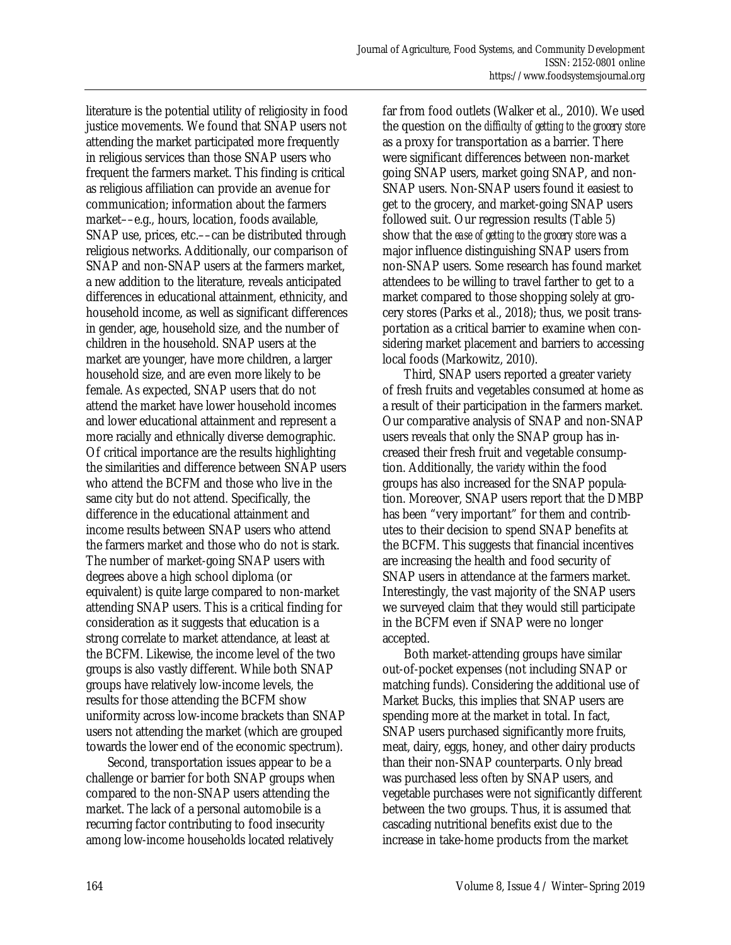literature is the potential utility of religiosity in food justice movements. We found that SNAP users not attending the market participated more frequently in religious services than those SNAP users who frequent the farmers market. This finding is critical as religious affiliation can provide an avenue for communication; information about the farmers market––e.g., hours, location, foods available, SNAP use, prices, etc.––can be distributed through religious networks. Additionally, our comparison of SNAP and non-SNAP users at the farmers market, a new addition to the literature, reveals anticipated differences in educational attainment, ethnicity, and household income, as well as significant differences in gender, age, household size, and the number of children in the household. SNAP users at the market are younger, have more children, a larger household size, and are even more likely to be female. As expected, SNAP users that do not attend the market have lower household incomes and lower educational attainment and represent a more racially and ethnically diverse demographic. Of critical importance are the results highlighting the similarities and difference between SNAP users who attend the BCFM and those who live in the same city but do not attend. Specifically, the difference in the educational attainment and income results between SNAP users who attend the farmers market and those who do not is stark. The number of market-going SNAP users with degrees above a high school diploma (or equivalent) is quite large compared to non-market attending SNAP users. This is a critical finding for consideration as it suggests that education is a strong correlate to market attendance, at least at the BCFM. Likewise, the income level of the two groups is also vastly different. While both SNAP groups have relatively low-income levels, the results for those attending the BCFM show uniformity across low-income brackets than SNAP users not attending the market (which are grouped towards the lower end of the economic spectrum).

 Second, transportation issues appear to be a challenge or barrier for both SNAP groups when compared to the non-SNAP users attending the market. The lack of a personal automobile is a recurring factor contributing to food insecurity among low-income households located relatively

far from food outlets (Walker et al., 2010). We used the question on the *difficulty of getting to the grocery store* as a proxy for transportation as a barrier. There were significant differences between non-market going SNAP users, market going SNAP, and non-SNAP users. Non-SNAP users found it easiest to get to the grocery, and market-going SNAP users followed suit. Our regression results (Table 5) show that the *ease of getting to the grocery store* was a major influence distinguishing SNAP users from non-SNAP users. Some research has found market attendees to be willing to travel farther to get to a market compared to those shopping solely at grocery stores (Parks et al., 2018); thus, we posit transportation as a critical barrier to examine when considering market placement and barriers to accessing local foods (Markowitz, 2010).

 Third, SNAP users reported a greater variety of fresh fruits and vegetables consumed at home as a result of their participation in the farmers market. Our comparative analysis of SNAP and non-SNAP users reveals that only the SNAP group has increased their fresh fruit and vegetable consumption. Additionally, the *variety* within the food groups has also increased for the SNAP population. Moreover, SNAP users report that the DMBP has been "very important" for them and contributes to their decision to spend SNAP benefits at the BCFM. This suggests that financial incentives are increasing the health and food security of SNAP users in attendance at the farmers market. Interestingly, the vast majority of the SNAP users we surveyed claim that they would still participate in the BCFM even if SNAP were no longer accepted.

 Both market-attending groups have similar out-of-pocket expenses (not including SNAP or matching funds). Considering the additional use of Market Bucks, this implies that SNAP users are spending more at the market in total. In fact, SNAP users purchased significantly more fruits, meat, dairy, eggs, honey, and other dairy products than their non-SNAP counterparts. Only bread was purchased less often by SNAP users, and vegetable purchases were not significantly different between the two groups. Thus, it is assumed that cascading nutritional benefits exist due to the increase in take-home products from the market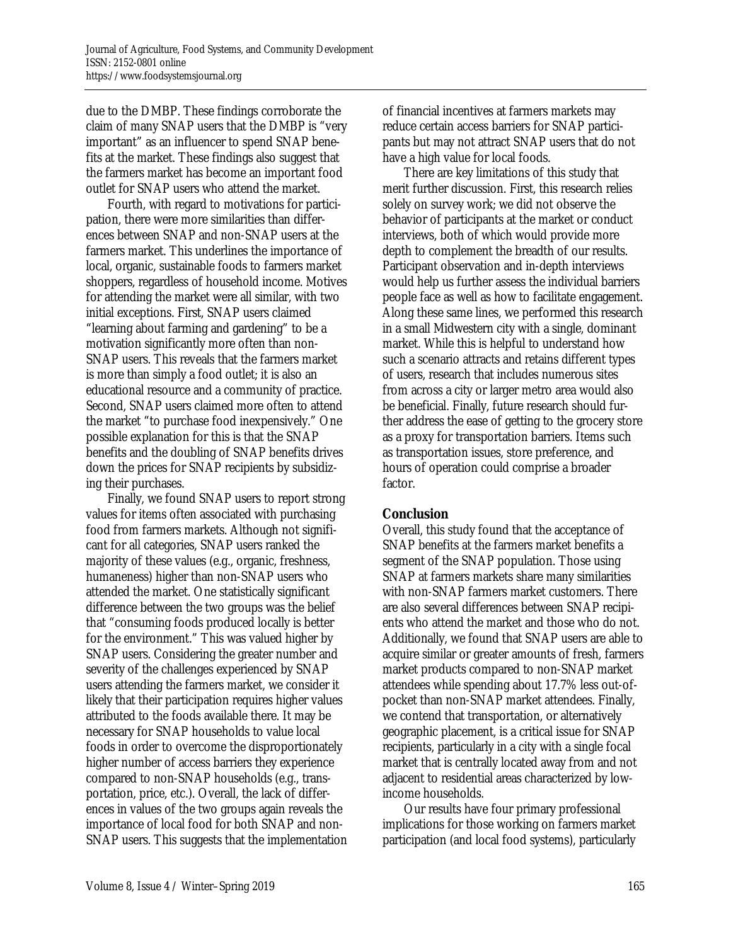due to the DMBP. These findings corroborate the claim of many SNAP users that the DMBP is "very important" as an influencer to spend SNAP benefits at the market. These findings also suggest that the farmers market has become an important food outlet for SNAP users who attend the market.

 Fourth, with regard to motivations for participation, there were more similarities than differences between SNAP and non-SNAP users at the farmers market. This underlines the importance of local, organic, sustainable foods to farmers market shoppers, regardless of household income. Motives for attending the market were all similar, with two initial exceptions. First, SNAP users claimed "learning about farming and gardening" to be a motivation significantly more often than non-SNAP users. This reveals that the farmers market is more than simply a food outlet; it is also an educational resource and a community of practice. Second, SNAP users claimed more often to attend the market "to purchase food inexpensively." One possible explanation for this is that the SNAP benefits and the doubling of SNAP benefits drives down the prices for SNAP recipients by subsidizing their purchases.

 Finally, we found SNAP users to report strong values for items often associated with purchasing food from farmers markets. Although not significant for all categories, SNAP users ranked the majority of these values (e.g., organic, freshness, humaneness) higher than non-SNAP users who attended the market. One statistically significant difference between the two groups was the belief that "consuming foods produced locally is better for the environment." This was valued higher by SNAP users. Considering the greater number and severity of the challenges experienced by SNAP users attending the farmers market, we consider it likely that their participation requires higher values attributed to the foods available there. It may be necessary for SNAP households to value local foods in order to overcome the disproportionately higher number of access barriers they experience compared to non-SNAP households (e.g., transportation, price, etc.). Overall, the lack of differences in values of the two groups again reveals the importance of local food for both SNAP and non-SNAP users. This suggests that the implementation of financial incentives at farmers markets may reduce certain access barriers for SNAP participants but may not attract SNAP users that do not have a high value for local foods.

 There are key limitations of this study that merit further discussion. First, this research relies solely on survey work; we did not observe the behavior of participants at the market or conduct interviews, both of which would provide more depth to complement the breadth of our results. Participant observation and in-depth interviews would help us further assess the individual barriers people face as well as how to facilitate engagement. Along these same lines, we performed this research in a small Midwestern city with a single, dominant market. While this is helpful to understand how such a scenario attracts and retains different types of users, research that includes numerous sites from across a city or larger metro area would also be beneficial. Finally, future research should further address the ease of getting to the grocery store as a proxy for transportation barriers. Items such as transportation issues, store preference, and hours of operation could comprise a broader factor.

#### **Conclusion**

Overall, this study found that the acceptance of SNAP benefits at the farmers market benefits a segment of the SNAP population. Those using SNAP at farmers markets share many similarities with non-SNAP farmers market customers. There are also several differences between SNAP recipients who attend the market and those who do not. Additionally, we found that SNAP users are able to acquire similar or greater amounts of fresh, farmers market products compared to non-SNAP market attendees while spending about 17.7% less out-ofpocket than non-SNAP market attendees. Finally, we contend that transportation, or alternatively geographic placement, is a critical issue for SNAP recipients, particularly in a city with a single focal market that is centrally located away from and not adjacent to residential areas characterized by lowincome households.

 Our results have four primary professional implications for those working on farmers market participation (and local food systems), particularly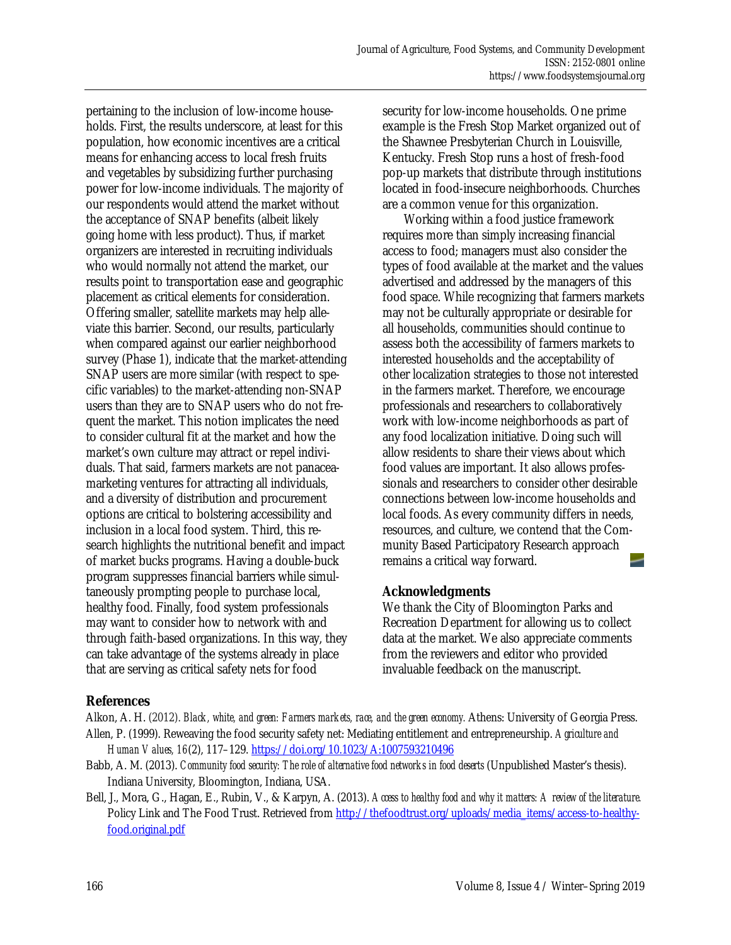pertaining to the inclusion of low-income households. First, the results underscore, at least for this population, how economic incentives are a critical means for enhancing access to local fresh fruits and vegetables by subsidizing further purchasing power for low-income individuals. The majority of our respondents would attend the market without the acceptance of SNAP benefits (albeit likely going home with less product). Thus, if market organizers are interested in recruiting individuals who would normally not attend the market, our results point to transportation ease and geographic placement as critical elements for consideration. Offering smaller, satellite markets may help alleviate this barrier. Second, our results, particularly when compared against our earlier neighborhood survey (Phase 1), indicate that the market-attending SNAP users are more similar (with respect to specific variables) to the market-attending non-SNAP users than they are to SNAP users who do not frequent the market. This notion implicates the need to consider cultural fit at the market and how the market's own culture may attract or repel individuals. That said, farmers markets are not panaceamarketing ventures for attracting all individuals, and a diversity of distribution and procurement options are critical to bolstering accessibility and inclusion in a local food system. Third, this research highlights the nutritional benefit and impact of market bucks programs. Having a double-buck program suppresses financial barriers while simultaneously prompting people to purchase local, healthy food. Finally, food system professionals may want to consider how to network with and through faith-based organizations. In this way, they can take advantage of the systems already in place that are serving as critical safety nets for food

security for low-income households. One prime example is the Fresh Stop Market organized out of the Shawnee Presbyterian Church in Louisville, Kentucky. Fresh Stop runs a host of fresh-food pop-up markets that distribute through institutions located in food-insecure neighborhoods. Churches are a common venue for this organization.

 Working within a food justice framework requires more than simply increasing financial access to food; managers must also consider the types of food available at the market and the values advertised and addressed by the managers of this food space. While recognizing that farmers markets may not be culturally appropriate or desirable for all households, communities should continue to assess both the accessibility of farmers markets to interested households and the acceptability of other localization strategies to those not interested in the farmers market. Therefore, we encourage professionals and researchers to collaboratively work with low-income neighborhoods as part of any food localization initiative. Doing such will allow residents to share their views about which food values are important. It also allows professionals and researchers to consider other desirable connections between low-income households and local foods. As every community differs in needs, resources, and culture, we contend that the Community Based Participatory Research approach remains a critical way forward.

#### **Acknowledgments**

We thank the City of Bloomington Parks and Recreation Department for allowing us to collect data at the market. We also appreciate comments from the reviewers and editor who provided invaluable feedback on the manuscript.

#### **References**

Alkon, A. H. (2012). *Black, white, and green: Farmers markets, race, and the green economy.* Athens: University of Georgia Press. Allen, P. (1999). Reweaving the food security safety net: Mediating entitlement and entrepreneurship. *Agriculture and Human Values, 16*(2), 117–129. https://doi.org/10.1023/A:1007593210496

- Babb, A. M. (2013). *Community food security: The role of alternative food networks in food deserts* (Unpublished Master's thesis). Indiana University, Bloomington, Indiana, USA.
- Bell, J., Mora, G., Hagan, E., Rubin, V., & Karpyn, A. (2013). *Access to healthy food and why it matters: A review of the literature.* Policy Link and The Food Trust. Retrieved from http://thefoodtrust.org/uploads/media\_items/access-to-healthyfood.original.pdf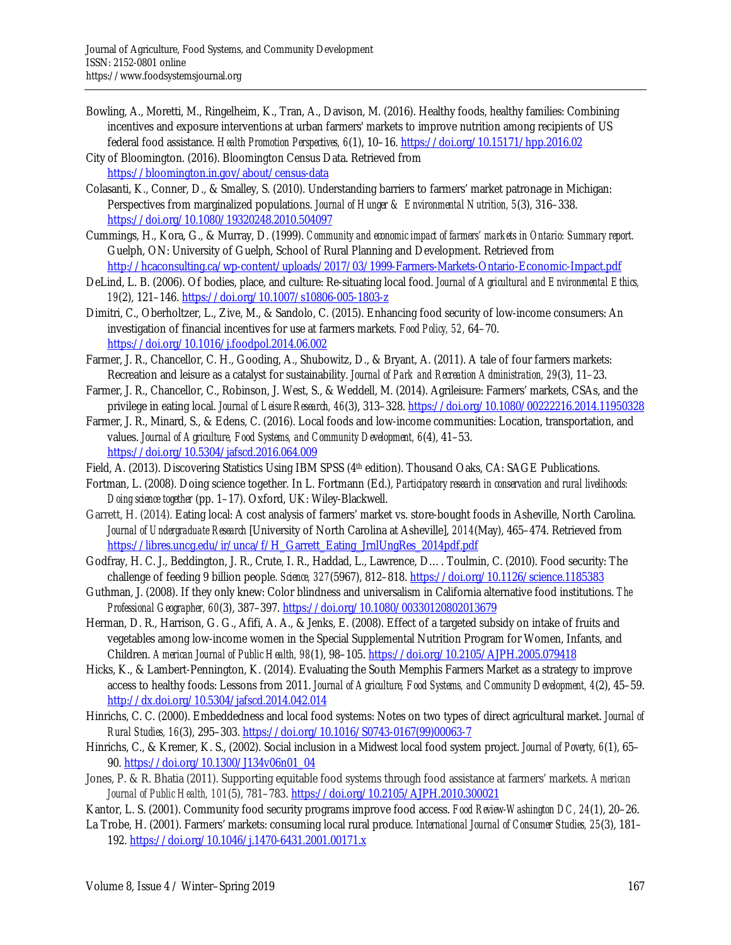- Bowling, A., Moretti, M., Ringelheim, K., Tran, A., Davison, M. (2016). Healthy foods, healthy families: Combining incentives and exposure interventions at urban farmers' markets to improve nutrition among recipients of US federal food assistance. *Health Promotion Perspectives, 6*(1), 10–16. https://doi.org/10.15171/hpp.2016.02
- City of Bloomington. (2016). Bloomington Census Data. Retrieved from https://bloomington.in.gov/about/census-data
- Colasanti, K., Conner, D., & Smalley, S. (2010). Understanding barriers to farmers' market patronage in Michigan: Perspectives from marginalized populations. *Journal of Hunger & Environmental Nutrition, 5*(3), 316–338. https://doi.org/10.1080/19320248.2010.504097
- Cummings, H., Kora, G., & Murray, D. (1999). *Community and economic impact of farmers' markets in Ontario: Summary report.* Guelph, ON: University of Guelph, School of Rural Planning and Development. Retrieved from http://hcaconsulting.ca/wp-content/uploads/2017/03/1999-Farmers-Markets-Ontario-Economic-Impact.pdf
- DeLind, L. B. (2006). Of bodies, place, and culture: Re-situating local food. *Journal of Agricultural and Environmental Ethics, 19*(2), 121–146. https://doi.org/10.1007/s10806-005-1803-z
- Dimitri, C., Oberholtzer, L., Zive, M., & Sandolo, C. (2015). Enhancing food security of low-income consumers: An investigation of financial incentives for use at farmers markets. *Food Policy, 52,* 64–70. https://doi.org/10.1016/j.foodpol.2014.06.002
- Farmer, J. R., Chancellor, C. H., Gooding, A., Shubowitz, D., & Bryant, A. (2011). A tale of four farmers markets: Recreation and leisure as a catalyst for sustainability. *Journal of Park and Recreation Administration, 29*(3), 11–23.
- Farmer, J. R., Chancellor, C., Robinson, J. West, S., & Weddell, M. (2014). Agrileisure: Farmers' markets, CSAs, and the privilege in eating local. *Journal of Leisure Research, 46*(3), 313–328. https://doi.org/10.1080/00222216.2014.11950328
- Farmer, J. R., Minard, S., & Edens, C. (2016). Local foods and low-income communities: Location, transportation, and values. *Journal of Agriculture, Food Systems, and Community Development, 6*(4), 41–53. https://doi.org/10.5304/jafscd.2016.064.009
- Field, A. (2013). Discovering Statistics Using IBM SPSS (4th edition). Thousand Oaks, CA: SAGE Publications.
- Fortman, L. (2008). Doing science together. In L. Fortmann (Ed.), *Participatory research in conservation and rural livelihoods: Doing science together* (pp. 1–17). Oxford, UK: Wiley-Blackwell.
- Garrett, H. (2014). Eating local: A cost analysis of farmers' market vs. store-bought foods in Asheville, North Carolina. *Journal of Undergraduate Research* [University of North Carolina at Asheville], *2014*(May), 465–474. Retrieved from https://libres.uncg.edu/ir/unca/f/H\_Garrett\_Eating\_JrnlUngRes\_2014pdf.pdf
- Godfray, H. C. J., Beddington, J. R., Crute, I. R., Haddad, L., Lawrence, D…. Toulmin, C. (2010). Food security: The challenge of feeding 9 billion people. *Science, 327*(5967), 812–818. https://doi.org/10.1126/science.1185383
- Guthman, J. (2008). If they only knew: Color blindness and universalism in California alternative food institutions. *The Professional Geographer, 60*(3), 387–397. https://doi.org/10.1080/00330120802013679
- Herman, D. R., Harrison, G. G., Afifi, A. A., & Jenks, E. (2008). Effect of a targeted subsidy on intake of fruits and vegetables among low-income women in the Special Supplemental Nutrition Program for Women, Infants, and Children. *American Journal of Public Health, 98*(1), 98–105. https://doi.org/10.2105/AJPH.2005.079418
- Hicks, K., & Lambert-Pennington, K. (2014). Evaluating the South Memphis Farmers Market as a strategy to improve access to healthy foods: Lessons from 2011. *Journal of Agriculture, Food Systems, and Community Development, 4*(2), 45–59. http://dx.doi.org/10.5304/jafscd.2014.042.014
- Hinrichs, C. C. (2000). Embeddedness and local food systems: Notes on two types of direct agricultural market. *Journal of Rural Studies, 16*(3), 295–303. [https://doi.org/10.1016/S0743-0167\(99\)00063-7](https://doi.org/10.1016/S0743-0167(99)00063-7)
- Hinrichs, C., & Kremer, K. S., (2002). Social inclusion in a Midwest local food system project. *Journal of Poverty, 6*(1), 65– 90. https://doi.org/10.1300/J134v06n01\_04
- Jones, P. & R. Bhatia (2011). Supporting equitable food systems through food assistance at farmers' markets. *American Journal of Public Health, 101*(5), 781–783. https://doi.org/10.2105/AJPH.2010.300021
- Kantor, L. S. (2001). Community food security programs improve food access. *Food Review-Washington DC, 24*(1), 20–26.
- La Trobe, H. (2001). Farmers' markets: consuming local rural produce. *International Journal of Consumer Studies, 25*(3), 181– 192. https://doi.org/10.1046/j.1470-6431.2001.00171.x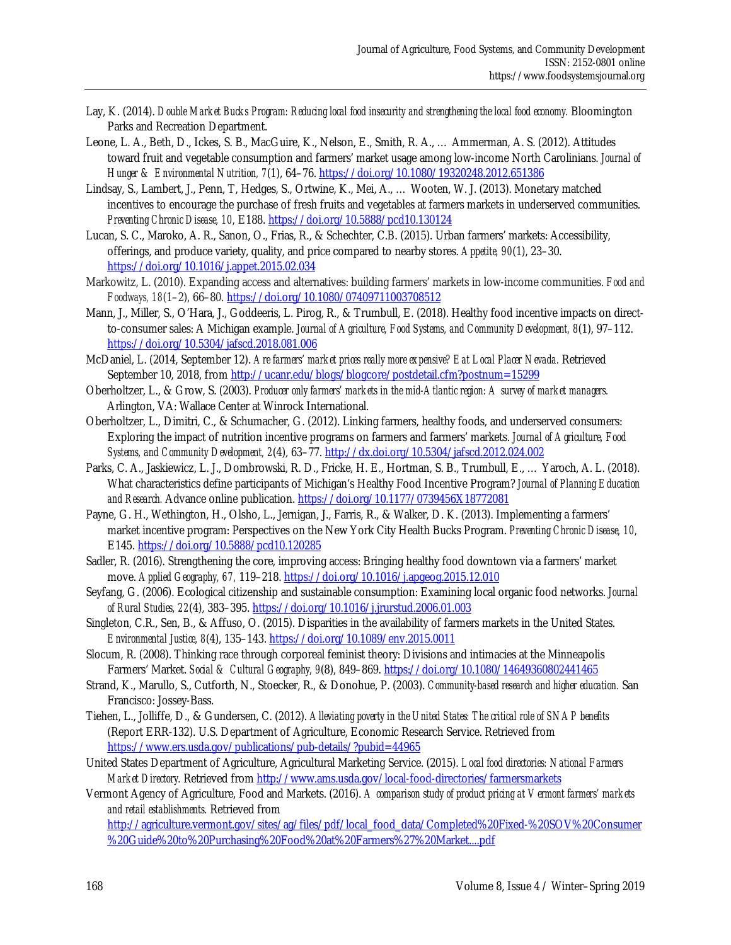- Lay, K. (2014). *Double Market Bucks Program: Reducing local food insecurity and strengthening the local food economy.* Bloomington Parks and Recreation Department.
- Leone, L. A., Beth, D., Ickes, S. B., MacGuire, K., Nelson, E., Smith, R. A., … Ammerman, A. S. (2012). Attitudes toward fruit and vegetable consumption and farmers' market usage among low-income North Carolinians. *Journal of Hunger & Environmental Nutrition, 7*(1), 64–76. https://doi.org/10.1080/19320248.2012.651386
- Lindsay, S., Lambert, J., Penn, T, Hedges, S., Ortwine, K., Mei, A., … Wooten, W. J. (2013). Monetary matched incentives to encourage the purchase of fresh fruits and vegetables at farmers markets in underserved communities. *Preventing Chronic Disease, 10,* E188. https://doi.org/10.5888/pcd10.130124
- Lucan, S. C., Maroko, A. R., Sanon, O., Frias, R., & Schechter, C.B. (2015). Urban farmers' markets: Accessibility, offerings, and produce variety, quality, and price compared to nearby stores. *Appetite, 90*(1), 23–30. https://doi.org/10.1016/j.appet.2015.02.034
- Markowitz, L. (2010). Expanding access and alternatives: building farmers' markets in low-income communities. *Food and Foodways, 18*(1–2), 66–80. https://doi.org/10.1080/07409711003708512
- Mann, J., Miller, S., O'Hara, J., Goddeeris, L. Pirog, R., & Trumbull, E. (2018). Healthy food incentive impacts on directto-consumer sales: A Michigan example. *Journal of Agriculture, Food Systems, and Community Development, 8*(1), 97–112. https://doi.org/10.5304/jafscd.2018.081.006
- McDaniel, L. (2014, September 12). *Are farmers' market prices really more expensive? Eat Local Placer Nevada.* Retrieved September 10, 2018, from http://ucanr.edu/blogs/blogcore/postdetail.cfm?postnum=15299
- Oberholtzer, L., & Grow, S. (2003). *Producer only farmers' markets in the mid-Atlantic region: A survey of market managers.* Arlington, VA: Wallace Center at Winrock International.
- Oberholtzer, L., Dimitri, C., & Schumacher, G. (2012). Linking farmers, healthy foods, and underserved consumers: Exploring the impact of nutrition incentive programs on farmers and farmers' markets. *Journal of Agriculture, Food Systems, and Community Development, 2*(4), 63–77. http://dx.doi.org/10.5304/jafscd.2012.024.002
- Parks, C. A., Jaskiewicz, L. J., Dombrowski, R. D., Fricke, H. E., Hortman, S. B., Trumbull, E., … Yaroch, A. L. (2018). What characteristics define participants of Michigan's Healthy Food Incentive Program? *Journal of Planning Education and Research.* Advance online publication. https://doi.org/10.1177/0739456X18772081
- Payne, G. H., Wethington, H., Olsho, L., Jernigan, J., Farris, R., & Walker, D. K. (2013). Implementing a farmers' market incentive program: Perspectives on the New York City Health Bucks Program. *Preventing Chronic Disease, 10,* E145. https://doi.org/10.5888/pcd10.120285
- Sadler, R. (2016). Strengthening the core, improving access: Bringing healthy food downtown via a farmers' market move. *Applied Geography, 67,* 119–218. https://doi.org/10.1016/j.apgeog.2015.12.010
- Seyfang, G. (2006). Ecological citizenship and sustainable consumption: Examining local organic food networks. *Journal of Rural Studies, 22*(4), 383–395. https://doi.org/10.1016/j.jrurstud.2006.01.003
- Singleton, C.R., Sen, B., & Affuso, O. (2015). Disparities in the availability of farmers markets in the United States. *Environmental Justice, 8*(4), 135–143. https://doi.org/10.1089/env.2015.0011
- Slocum, R. (2008). Thinking race through corporeal feminist theory: Divisions and intimacies at the Minneapolis Farmers' Market. *Social & Cultural Geography, 9*(8), 849–869. https://doi.org/10.1080/14649360802441465
- Strand, K., Marullo, S., Cutforth, N., Stoecker, R., & Donohue, P. (2003). *Community-based research and higher education.* San Francisco: Jossey-Bass.
- Tiehen, L., Jolliffe, D., & Gundersen, C. (2012). *Alleviating poverty in the United States: The critical role of SNAP benefits* (Report ERR-132). U.S. Department of Agriculture, Economic Research Service. Retrieved from https://www.ers.usda.gov/publications/pub-details/?pubid=44965
- United States Department of Agriculture, Agricultural Marketing Service. (2015). *Local food directories: National Farmers Market Directory.* Retrieved from http://www.ams.usda.gov/local-food-directories/farmersmarkets
- Vermont Agency of Agriculture, Food and Markets. (2016). *A comparison study of product pricing at Vermont farmers' markets and retail establishments.* Retrieved from

[http://agriculture.vermont.gov/sites/ag/files/pdf/local\\_food\\_data/Completed%20Fixed-%20SOV%20Consumer](http://agriculture.vermont.gov/sites/ag/files/pdf/local_food_data/Completed%20Fixed-%20SOV%20Consumer%20Guide%20to%20Purchasing%20Food%20at%20Farmers%27%20Market....pdf) %20Guide%20to%20Purchasing%20Food%20at%20Farmers%27%20Market....pdf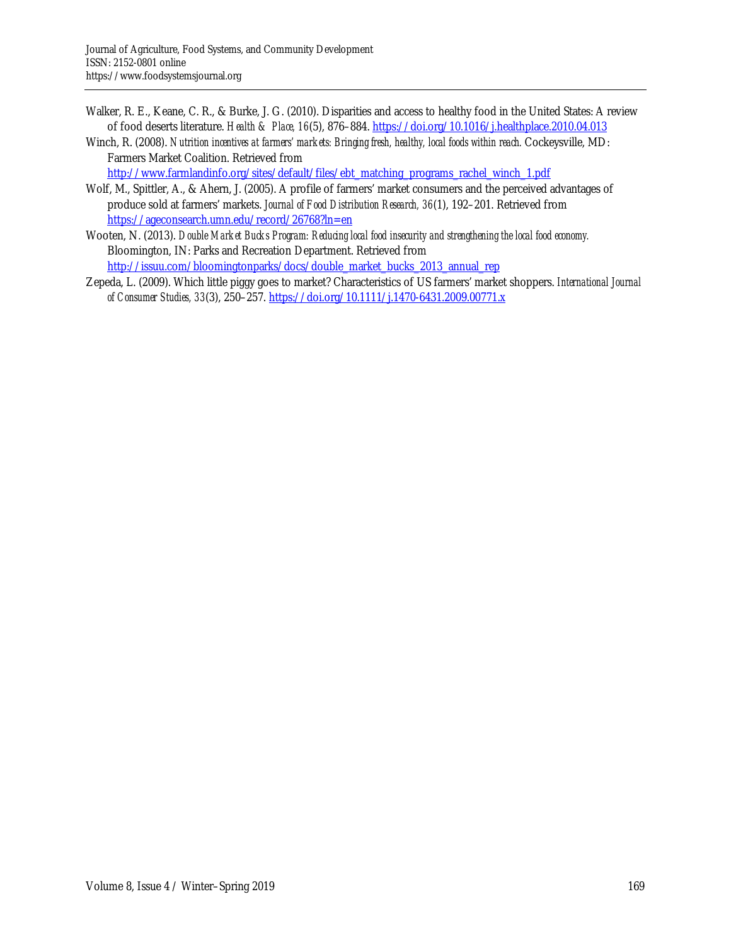- Walker, R. E., Keane, C. R., & Burke, J. G. (2010). Disparities and access to healthy food in the United States: A review of food deserts literature. *Health & Place, 16*(5), 876–884. https://doi.org/10.1016/j.healthplace.2010.04.013
- Winch, R. (2008). *Nutrition incentives at farmers' markets: Bringing fresh, healthy, local foods within reach.* Cockeysville, MD: Farmers Market Coalition. Retrieved from

http://www.farmlandinfo.org/sites/default/files/ebt\_matching\_programs\_rachel\_winch\_1.pdf

- Wolf, M., Spittler, A., & Ahern, J. (2005). A profile of farmers' market consumers and the perceived advantages of produce sold at farmers' markets. *Journal of Food Distribution Research, 36*(1), 192–201. Retrieved from https://ageconsearch.umn.edu/record/26768?ln=en
- Wooten, N. (2013). *Double Market Bucks Program: Reducing local food insecurity and strengthening the local food economy.* Bloomington, IN: Parks and Recreation Department. Retrieved from http://issuu.com/bloomingtonparks/docs/double\_market\_bucks\_2013\_annual\_rep
- Zepeda, L. (2009). Which little piggy goes to market? Characteristics of US farmers' market shoppers. *International Journal of Consumer Studies, 33*(3), 250–257. https://doi.org/10.1111/j.1470-6431.2009.00771.x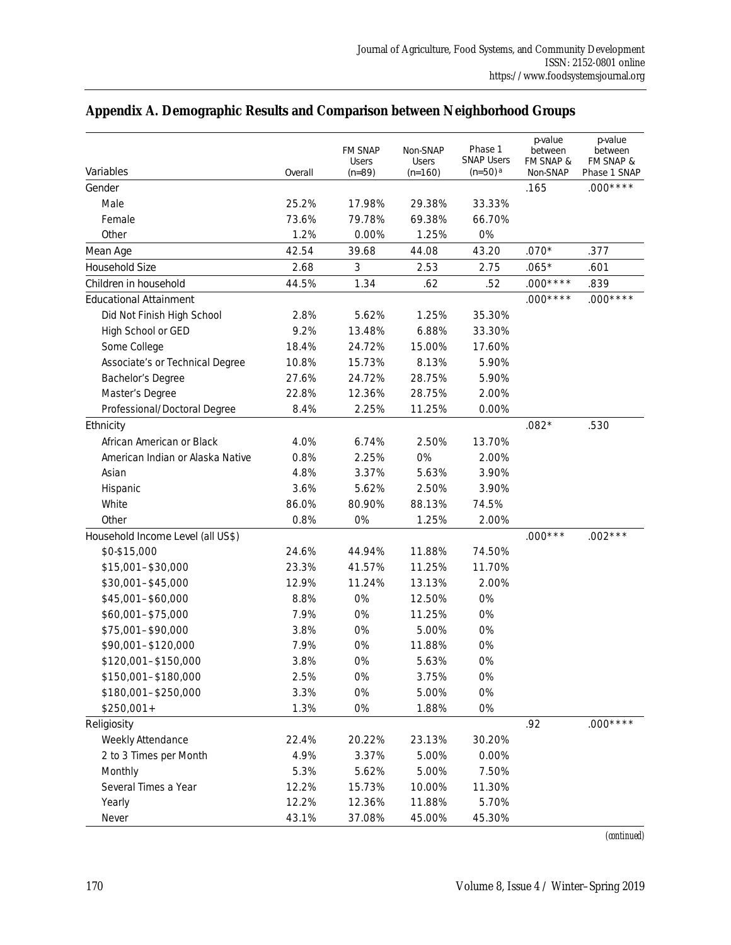| Variables                         | Overall | <b>FM SNAP</b><br><b>Users</b><br>$(n=89)$ | Non-SNAP<br><b>Users</b><br>$(n=160)$ | Phase 1<br><b>SNAP Users</b><br>$(n=50)$ <sup>a</sup> | p-value<br>between<br>FM SNAP &<br>Non-SNAP | p value<br>between<br>FM SNAP &<br>Phase 1 SNAP |
|-----------------------------------|---------|--------------------------------------------|---------------------------------------|-------------------------------------------------------|---------------------------------------------|-------------------------------------------------|
| Gender                            |         |                                            |                                       |                                                       | .165                                        | $.000***$                                       |
| Male                              | 25.2%   | 17.98%                                     | 29.38%                                | 33.33%                                                |                                             |                                                 |
| Female                            | 73.6%   | 79.78%                                     | 69.38%                                | 66.70%                                                |                                             |                                                 |
| Other                             | 1.2%    | 0.00%                                      | 1.25%                                 | 0%                                                    |                                             |                                                 |
| Mean Age                          | 42.54   | 39.68                                      | 44.08                                 | 43.20                                                 | $.070*$                                     | .377                                            |
| Household Size                    | 2.68    | 3                                          | 2.53                                  | 2.75                                                  | $.065*$                                     | .601                                            |
| Children in household             | 44.5%   | 1.34                                       | .62                                   | .52                                                   | $.000***$                                   | .839                                            |
| <b>Educational Attainment</b>     |         |                                            |                                       |                                                       | $.000***$                                   | $.000***$                                       |
| Did Not Finish High School        | 2.8%    | 5.62%                                      | 1.25%                                 | 35.30%                                                |                                             |                                                 |
| High School or GED                | 9.2%    | 13.48%                                     | 6.88%                                 | 33.30%                                                |                                             |                                                 |
| Some College                      | 18.4%   | 24.72%                                     | 15.00%                                | 17.60%                                                |                                             |                                                 |
| Associate's or Technical Degree   | 10.8%   | 15.73%                                     | 8.13%                                 | 5.90%                                                 |                                             |                                                 |
| Bachelor's Degree                 | 27.6%   | 24.72%                                     | 28.75%                                | 5.90%                                                 |                                             |                                                 |
| Master's Degree                   | 22.8%   | 12.36%                                     | 28.75%                                | 2.00%                                                 |                                             |                                                 |
| Professional/Doctoral Degree      | 8.4%    | 2.25%                                      | 11.25%                                | 0.00%                                                 |                                             |                                                 |
| Ethnicity                         |         |                                            |                                       |                                                       | $.082*$                                     | .530                                            |
| African American or Black         | 4.0%    | 6.74%                                      | 2.50%                                 | 13.70%                                                |                                             |                                                 |
| American Indian or Alaska Native  | 0.8%    | 2.25%                                      | 0%                                    | 2.00%                                                 |                                             |                                                 |
| Asian                             | 4.8%    | 3.37%                                      | 5.63%                                 | 3.90%                                                 |                                             |                                                 |
| Hispanic                          | 3.6%    | 5.62%                                      | 2.50%                                 | 3.90%                                                 |                                             |                                                 |
| White                             | 86.0%   | 80.90%                                     | 88.13%                                | 74.5%                                                 |                                             |                                                 |
| Other                             | 0.8%    | 0%                                         | 1.25%                                 | 2.00%                                                 |                                             |                                                 |
| Household Income Level (all US\$) |         |                                            |                                       |                                                       | $.000***$                                   | $.002***$                                       |
| \$0-\$15,000                      | 24.6%   | 44.94%                                     | 11.88%                                | 74.50%                                                |                                             |                                                 |
| \$15,001-\$30,000                 | 23.3%   | 41.57%                                     | 11.25%                                | 11.70%                                                |                                             |                                                 |
| \$30,001-\$45,000                 | 12.9%   | 11.24%                                     | 13.13%                                | 2.00%                                                 |                                             |                                                 |
| \$45,001-\$60,000                 | 8.8%    | 0%                                         | 12.50%                                | 0%                                                    |                                             |                                                 |
| \$60,001-\$75,000                 | 7.9%    | 0%                                         | 11.25%                                | 0%                                                    |                                             |                                                 |
| \$75,001-\$90,000                 | 3.8%    | 0%                                         | 5.00%                                 | 0%                                                    |                                             |                                                 |
| \$90,001-\$120,000                | 7.9%    | 0%                                         | 11.88%                                | 0%                                                    |                                             |                                                 |
| \$120,001-\$150,000               | 3.8%    | 0%                                         | 5.63%                                 | 0%                                                    |                                             |                                                 |
| \$150,001-\$180,000               | 2.5%    | 0%                                         | 3.75%                                 | 0%                                                    |                                             |                                                 |
| \$180,001-\$250,000               | 3.3%    | 0%                                         | 5.00%                                 | 0%                                                    |                                             |                                                 |
| $$250,001+$                       | 1.3%    | 0%                                         | 1.88%                                 | 0%                                                    |                                             |                                                 |
| Religiosity                       |         |                                            |                                       |                                                       | .92                                         | $.000***$                                       |
| Weekly Attendance                 | 22.4%   | 20.22%                                     | 23.13%                                | 30.20%                                                |                                             |                                                 |
| 2 to 3 Times per Month            | 4.9%    | 3.37%                                      | 5.00%                                 | 0.00%                                                 |                                             |                                                 |
| Monthly                           | 5.3%    | 5.62%                                      | 5.00%                                 | 7.50%                                                 |                                             |                                                 |
| Several Times a Year              | 12.2%   | 15.73%                                     | 10.00%                                | 11.30%                                                |                                             |                                                 |
| Yearly                            | 12.2%   | 12.36%                                     | 11.88%                                | 5.70%                                                 |                                             |                                                 |
| Never                             | 43.1%   | 37.08%                                     | 45.00%                                | 45.30%                                                |                                             |                                                 |

## **Appendix A. Demographic Results and Comparison between Neighborhood Groups**

*(continued)*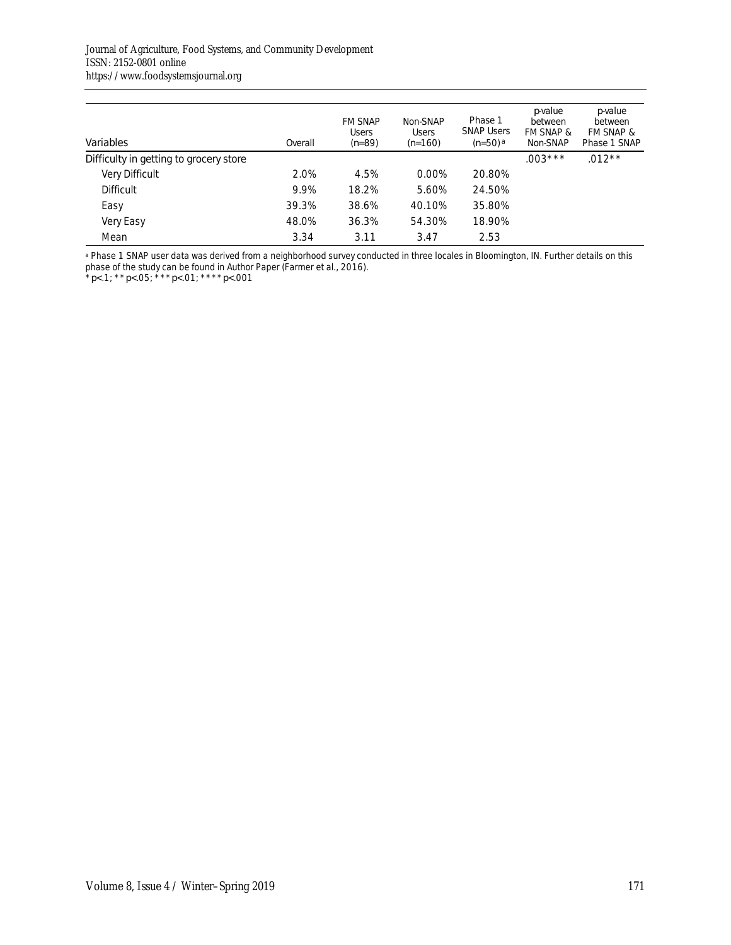| Variables                              | Overall | <b>FM SNAP</b><br><b>Users</b><br>$(n=89)$ | Non-SNAP<br><b>Users</b><br>$(n=160)$ | Phase 1<br><b>SNAP Users</b><br>$(n=50)$ a | pvalue<br>between<br>FM SNAP &<br>Non-SNAP | pvalue<br>between<br>FM SNAP &<br>Phase 1 SNAP |
|----------------------------------------|---------|--------------------------------------------|---------------------------------------|--------------------------------------------|--------------------------------------------|------------------------------------------------|
| Difficulty in getting to grocery store |         |                                            |                                       |                                            | $.003***$                                  | $.012**$                                       |
| <b>Very Difficult</b>                  | 2.0%    | 4.5%                                       | 0.00%                                 | 20.80%                                     |                                            |                                                |
| <b>Difficult</b>                       | 9.9%    | 18.2%                                      | 5.60%                                 | 24.50%                                     |                                            |                                                |
| Easy                                   | 39.3%   | 38.6%                                      | 40.10%                                | 35.80%                                     |                                            |                                                |
| Very Easy                              | 48.0%   | 36.3%                                      | 54.30%                                | 18.90%                                     |                                            |                                                |
| Mean                                   | 3.34    | 3.11                                       | 3.47                                  | 2.53                                       |                                            |                                                |

**a Phase 1 SNAP user data was derived from a neighborhood survey conducted in three locales in Bloomington, IN. Further details on this** phase of the study can be found in Author Paper (Farmer et al., 2016).

\**p*<.1; \*\**p*<.05; \*\*\**p*<.01; \*\*\*\**p*<.001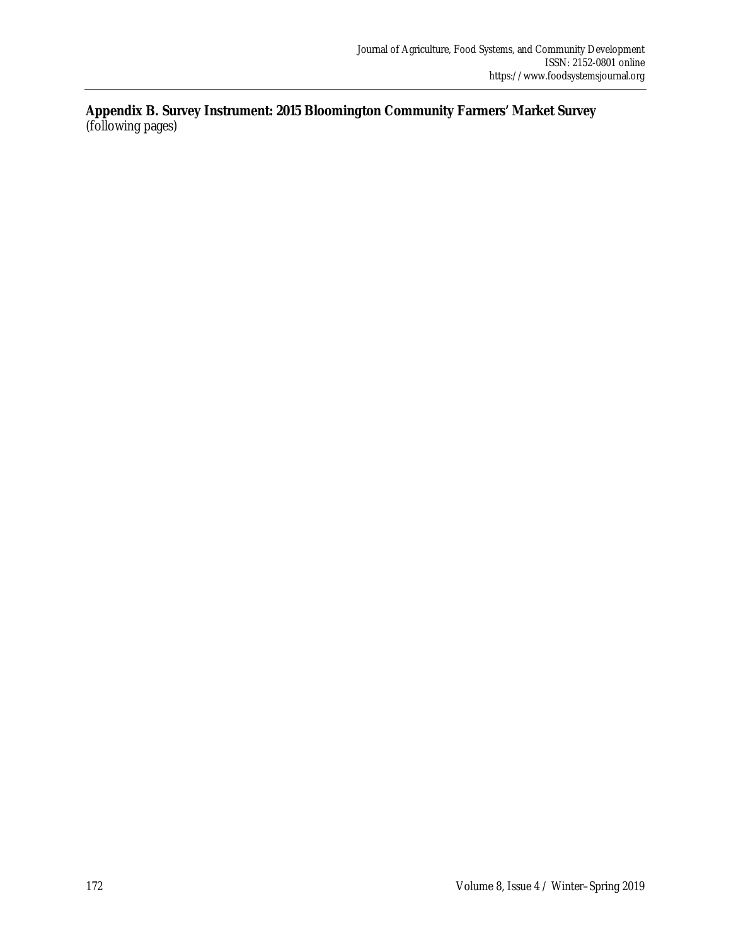**Appendix B. Survey Instrument: 2015 Bloomington Community Farmers' Market Survey**  (following pages)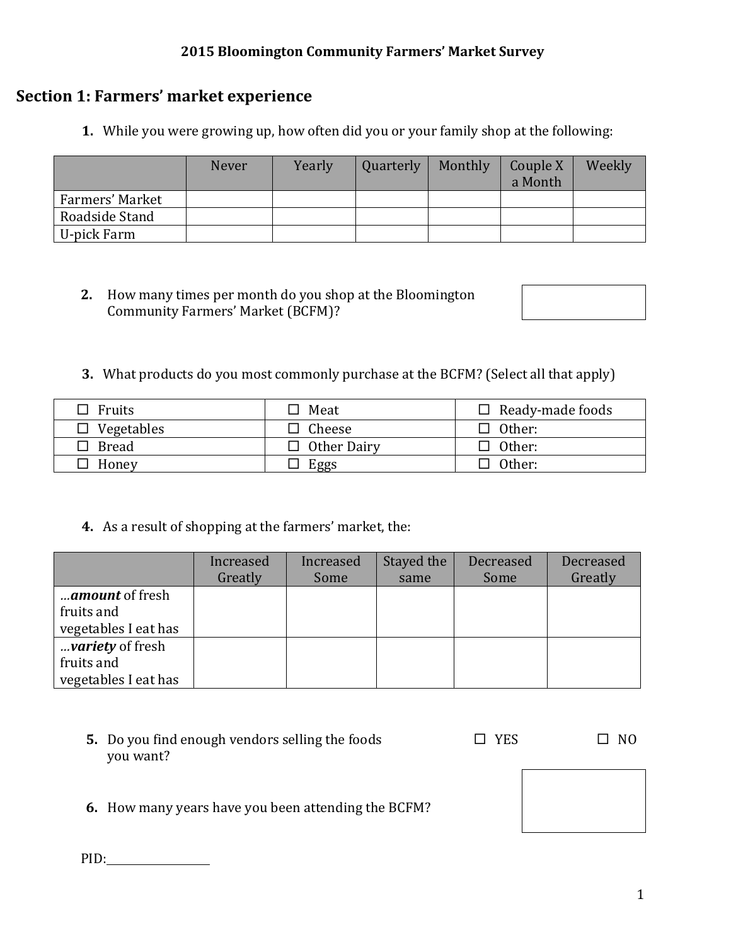## **2015 Bloomington Community Farmers' Market Survey**

# **Section 1: Farmers' market experience**

**1.** While you were growing up, how often did you or your family shop at the following:

|                 | <b>Never</b> | Yearly | Quarterly | Monthly | Couple X<br>a Month | Weekly |
|-----------------|--------------|--------|-----------|---------|---------------------|--------|
| Farmers' Market |              |        |           |         |                     |        |
| Roadside Stand  |              |        |           |         |                     |        |
| U-pick Farm     |              |        |           |         |                     |        |

- **2.** How many times per month do you shop at the Bloomington Community Farmers' Market (BCFM)?
- **3.** What products do you most commonly purchase at the BCFM? (Select all that apply)

| $\Box$ Fruits     | $\Box$ Meat        | $\Box$ Ready-made foods |
|-------------------|--------------------|-------------------------|
| $\Box$ Vegetables | Cheese             | $\Box$ Other:           |
| $\Box$ Bread      | $\Box$ Other Dairy | $\Box$ Other:           |
| Honey             | Eggs               | $\Box$ Other:           |

**4.** As a result of shopping at the farmers' market, the:

|                      | Increased | Increased | Stayed the | Decreased | Decreased |
|----------------------|-----------|-----------|------------|-----------|-----------|
|                      | Greatly   | Some      | same       | Some      | Greatly   |
| amount of fresh      |           |           |            |           |           |
| fruits and           |           |           |            |           |           |
| vegetables I eat has |           |           |            |           |           |
| variety of fresh     |           |           |            |           |           |
| fruits and           |           |           |            |           |           |
| vegetables I eat has |           |           |            |           |           |

| 5. Do you find enough vendors selling the foods<br>you want? | <b>YES</b> | NΩ |
|--------------------------------------------------------------|------------|----|
| <b>6.</b> How many years have you been attending the BCFM?   |            |    |

PID: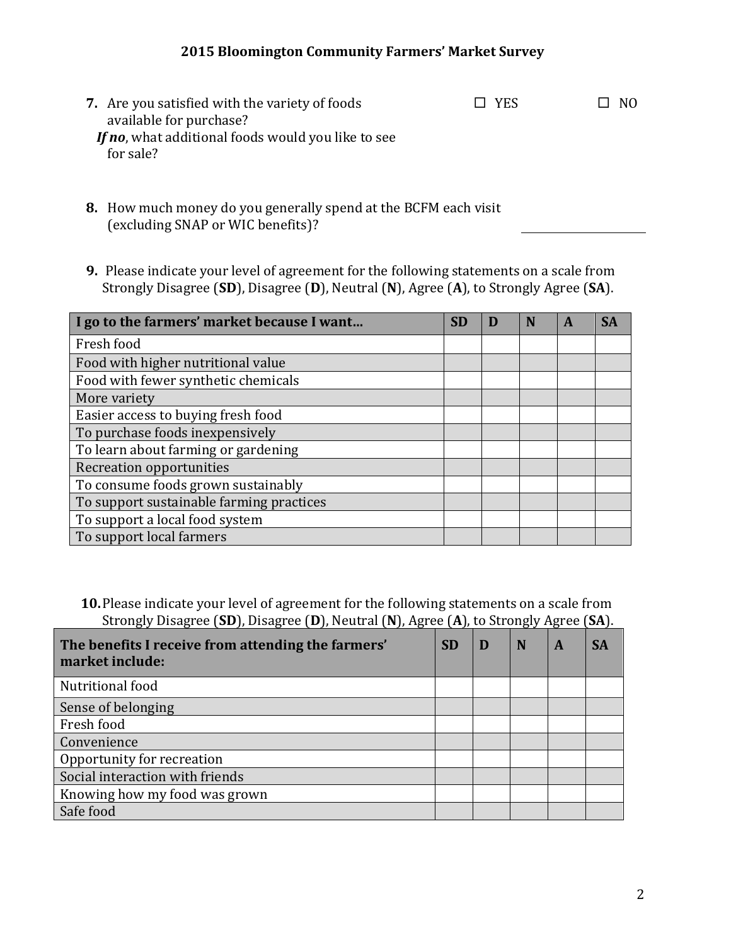## **2015 Bloomington Community Farmers' Market Survey**

- **7.** Are you satisfied with the variety of foods available for purchase? *If no*, what additional foods would you like to see for sale?  $\square$  YES  $\square$  NO
- **8.** How much money do you generally spend at the BCFM each visit (excluding SNAP or WIC benefits)?
- **9.** Please indicate your level of agreement for the following statements on a scale from Strongly Disagree (**SD**), Disagree (**D**), Neutral (**N**), Agree (**A**), to Strongly Agree (**SA**).

| I go to the farmers' market because I want | <b>SD</b> | D | N | A | SA |
|--------------------------------------------|-----------|---|---|---|----|
| Fresh food                                 |           |   |   |   |    |
| Food with higher nutritional value         |           |   |   |   |    |
| Food with fewer synthetic chemicals        |           |   |   |   |    |
| More variety                               |           |   |   |   |    |
| Easier access to buying fresh food         |           |   |   |   |    |
| To purchase foods inexpensively            |           |   |   |   |    |
| To learn about farming or gardening        |           |   |   |   |    |
| Recreation opportunities                   |           |   |   |   |    |
| To consume foods grown sustainably         |           |   |   |   |    |
| To support sustainable farming practices   |           |   |   |   |    |
| To support a local food system             |           |   |   |   |    |
| To support local farmers                   |           |   |   |   |    |

**10.**Please indicate your level of agreement for the following statements on a scale from Strongly Disagree (**SD**), Disagree (**D**), Neutral (**N**), Agree (**A**), to Strongly Agree (**SA**).

| The benefits I receive from attending the farmers'<br>market include: | <b>SD</b> | D | N | A | <b>SA</b> |
|-----------------------------------------------------------------------|-----------|---|---|---|-----------|
| Nutritional food                                                      |           |   |   |   |           |
| Sense of belonging                                                    |           |   |   |   |           |
| Fresh food                                                            |           |   |   |   |           |
| Convenience                                                           |           |   |   |   |           |
| Opportunity for recreation                                            |           |   |   |   |           |
| Social interaction with friends                                       |           |   |   |   |           |
| Knowing how my food was grown                                         |           |   |   |   |           |
| Safe food                                                             |           |   |   |   |           |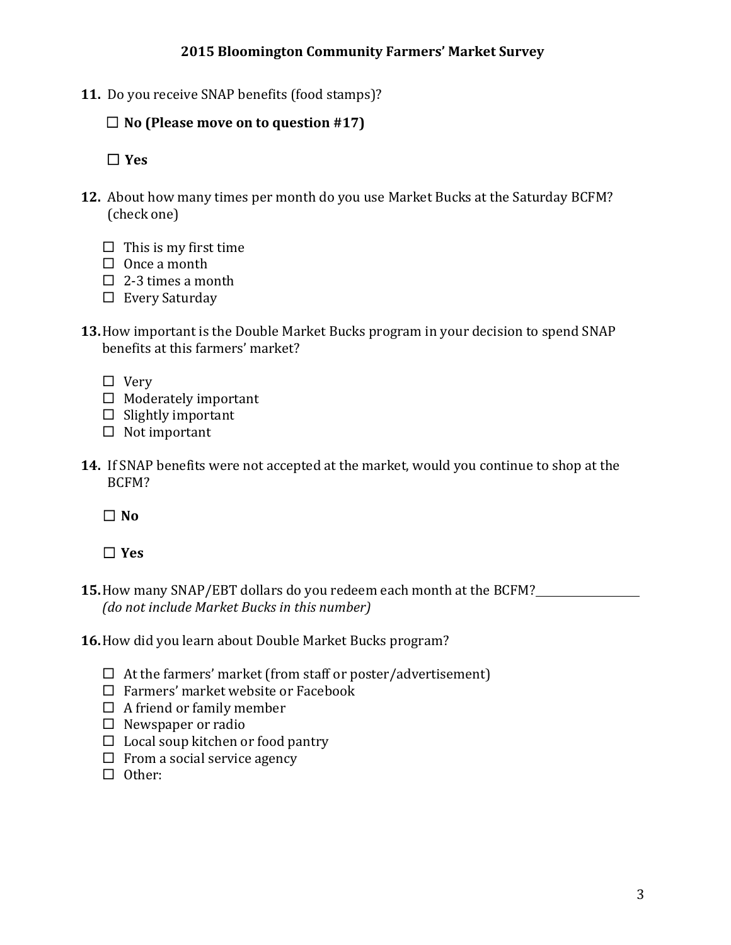**11.** Do you receive SNAP benefits (food stamps)?

## ☐ **No (Please move on to question #17)**

☐ **Yes**

- **12.** About how many times per month do you use Market Bucks at the Saturday BCFM? (check one)
	- $\Box$  This is my first time
	- $\Box$  Once a month
	- $\Box$  2-3 times a month
	- $\square$  Every Saturday
- **13.**How important is the Double Market Bucks program in your decision to spend SNAP benefits at this farmers' market?
	- □ Very
	- $\Box$  Moderately important
	- $\Box$  Slightly important
	- $\Box$  Not important
- **14.** If SNAP benefits were not accepted at the market, would you continue to shop at the BCFM?

 $\Box$ **No** 

# ☐ **Yes**

- **15.**How many SNAP/EBT dollars do you redeem each month at the BCFM? *(do not include Market Bucks in this number)*
- **16.**How did you learn about Double Market Bucks program?
	- $\Box$  At the farmers' market (from staff or poster/advertisement)
	- $\Box$  Farmers' market website or Facebook
	- $\Box$  A friend or family member
	- $\square$  Newspaper or radio
	- $\Box$  Local soup kitchen or food pantry
	- $\Box$  From a social service agency
	- $\Box$  Other: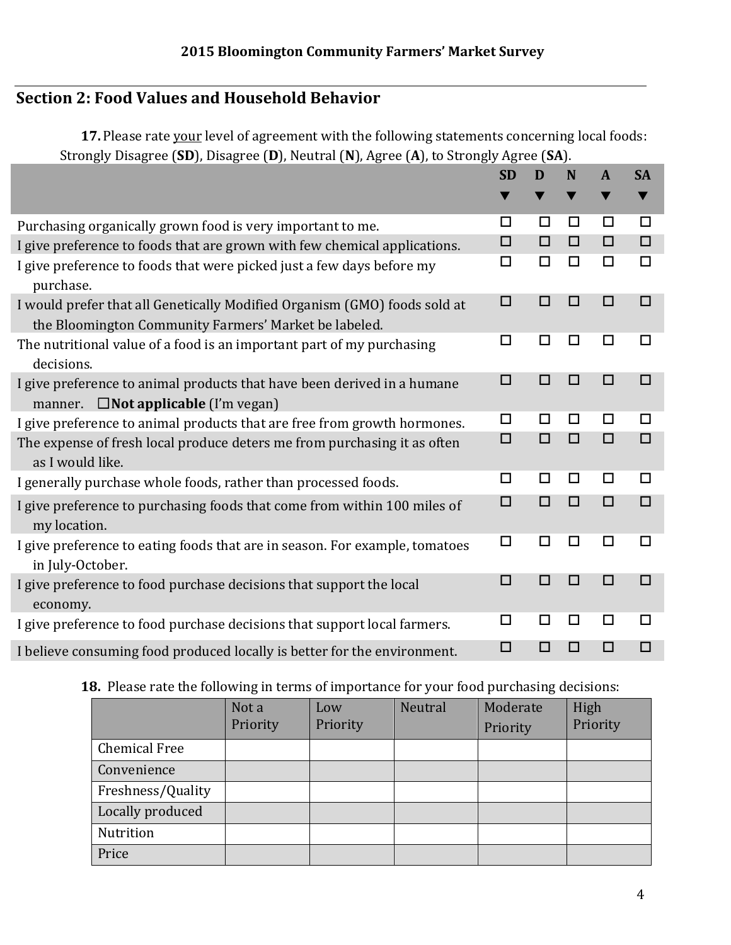# **Section 2: Food Values and Household Behavior**

**17.** Please rate your level of agreement with the following statements concerning local foods: Strongly Disagree (**SD**), Disagree (**D**), Neutral (**N**), Agree (**A**), to Strongly Agree (**SA**).

|                                                                                                                                    | <b>SD</b> | D      | N      | $\mathbf{A}$ | <b>SA</b> |
|------------------------------------------------------------------------------------------------------------------------------------|-----------|--------|--------|--------------|-----------|
|                                                                                                                                    | v         |        |        | v            | v         |
| Purchasing organically grown food is very important to me.                                                                         | □         | □      | $\Box$ | □            | □         |
| I give preference to foods that are grown with few chemical applications.                                                          | □         | $\Box$ | $\Box$ | $\Box$       | $\Box$    |
| I give preference to foods that were picked just a few days before my<br>purchase.                                                 | □         | □      | □      | □            | $\Box$    |
| I would prefer that all Genetically Modified Organism (GMO) foods sold at<br>the Bloomington Community Farmers' Market be labeled. | $\Box$    | п      | П      | $\Box$       | $\Box$    |
| The nutritional value of a food is an important part of my purchasing<br>decisions.                                                | □         | □      | □      | □            | □         |
| I give preference to animal products that have been derived in a humane<br>$\square$ Not applicable (I'm vegan)<br>manner.         | $\Box$    | п      | П      | $\Box$       | $\Box$    |
| I give preference to animal products that are free from growth hormones.                                                           | □         | П      | □      | □            | □         |
| The expense of fresh local produce deters me from purchasing it as often<br>as I would like.                                       | $\Box$    | $\Box$ | $\Box$ | $\Box$       | $\Box$    |
| I generally purchase whole foods, rather than processed foods.                                                                     | □         | □      | □      | □            | □         |
| I give preference to purchasing foods that come from within 100 miles of<br>my location.                                           | $\Box$    | $\Box$ | $\Box$ | $\Box$       | $\Box$    |
| I give preference to eating foods that are in season. For example, tomatoes<br>in July-October.                                    | □         | $\Box$ | □      | □            | □         |
| I give preference to food purchase decisions that support the local<br>economy.                                                    | □         | п      | $\Box$ | $\Box$       | □         |
| I give preference to food purchase decisions that support local farmers.                                                           | □         | $\Box$ | □      | □            | □         |
| I believe consuming food produced locally is better for the environment.                                                           | $\Box$    | $\Box$ | □      | $\Box$       | □         |

# **18.** Please rate the following in terms of importance for your food purchasing decisions:

|                      | Not a<br>Priority | Low<br>Priority | Neutral | Moderate<br>Priority | High<br>Priority |
|----------------------|-------------------|-----------------|---------|----------------------|------------------|
| <b>Chemical Free</b> |                   |                 |         |                      |                  |
| Convenience          |                   |                 |         |                      |                  |
| Freshness/Quality    |                   |                 |         |                      |                  |
| Locally produced     |                   |                 |         |                      |                  |
| Nutrition            |                   |                 |         |                      |                  |
| Price                |                   |                 |         |                      |                  |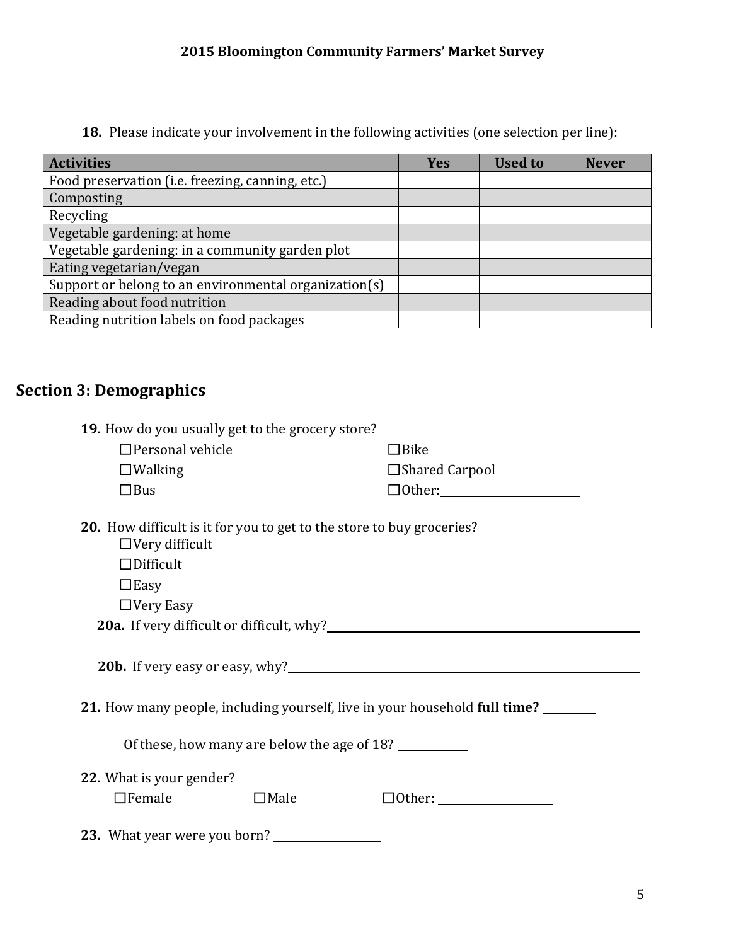# **2015 Bloomington Community Farmers' Market Survey**

**18.** Please indicate your involvement in the following activities (one selection per line):

| <b>Activities</b>                                     | <b>Yes</b> | <b>Used to</b> | <b>Never</b> |
|-------------------------------------------------------|------------|----------------|--------------|
| Food preservation (i.e. freezing, canning, etc.)      |            |                |              |
| Composting                                            |            |                |              |
| Recycling                                             |            |                |              |
| Vegetable gardening: at home                          |            |                |              |
| Vegetable gardening: in a community garden plot       |            |                |              |
| Eating vegetarian/vegan                               |            |                |              |
| Support or belong to an environmental organization(s) |            |                |              |
| Reading about food nutrition                          |            |                |              |
| Reading nutrition labels on food packages             |            |                |              |

# **Section 3: Demographics**

| 19. How do you usually get to the grocery store?                                               |             |                       |  |  |  |
|------------------------------------------------------------------------------------------------|-------------|-----------------------|--|--|--|
| $\Box$ Personal vehicle                                                                        |             | $\Box$ Bike           |  |  |  |
| $\Box$ Walking                                                                                 |             | $\Box$ Shared Carpool |  |  |  |
| $\Box$ Bus                                                                                     |             |                       |  |  |  |
| 20. How difficult is it for you to get to the store to buy groceries?<br>$\Box$ Very difficult |             |                       |  |  |  |
| $\Box$ Difficult                                                                               |             |                       |  |  |  |
| $\Box$ Easy                                                                                    |             |                       |  |  |  |
| $\Box$ Very Easy                                                                               |             |                       |  |  |  |
|                                                                                                |             |                       |  |  |  |
|                                                                                                |             |                       |  |  |  |
| 21. How many people, including yourself, live in your household full time?                     |             |                       |  |  |  |
| Of these, how many are below the age of 18?                                                    |             |                       |  |  |  |
| 22. What is your gender?                                                                       |             |                       |  |  |  |
| $\Box$ Female                                                                                  | $\Box$ Male |                       |  |  |  |
| 23. What year were you born?                                                                   |             |                       |  |  |  |